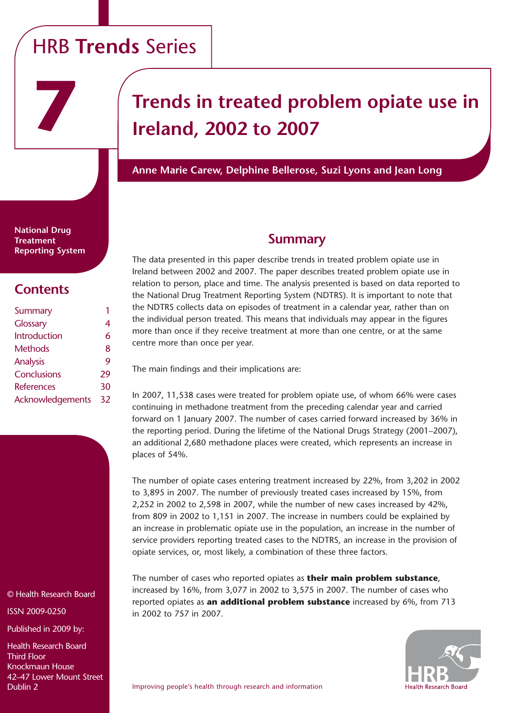# HRB **Trends** Series

# **Trends in treated problem opiate use in Ireland, 2002 to 2007**

**Anne Marie Carew, Delphine Bellerose, Suzi Lyons and Jean Long**

**National Drug Treatment Reporting System**

**7**

# **Contents**

| Summary           |    |
|-------------------|----|
| <b>Glossary</b>   | 4  |
| Introduction      | 6  |
| Methods           | 8  |
| Analysis          | Q  |
| Conclusions       | 29 |
| <b>References</b> | 30 |
| Acknowledgements  | 32 |

© Health Research Board

ISSN 2009-0250

Published in 2009 by:

Health Research Board Third Floor Knockmaun House 42–47 Lower Mount Street Dublin 2

# **Summary**

The data presented in this paper describe trends in treated problem opiate use in Ireland between 2002 and 2007. The paper describes treated problem opiate use in relation to person, place and time. The analysis presented is based on data reported to the National Drug Treatment Reporting System (NDTRS). It is important to note that the NDTRS collects data on episodes of treatment in a calendar year, rather than on the individual person treated. This means that individuals may appear in the figures more than once if they receive treatment at more than one centre, or at the same centre more than once per year.

The main findings and their implications are:

In 2007, 11,538 cases were treated for problem opiate use, of whom 66% were cases continuing in methadone treatment from the preceding calendar year and carried forward on 1 January 2007. The number of cases carried forward increased by 36% in the reporting period. During the lifetime of the National Drugs Strategy (2001–2007), an additional 2,680 methadone places were created, which represents an increase in places of 54%.

The number of opiate cases entering treatment increased by 22%, from 3,202 in 2002 to 3,895 in 2007. The number of previously treated cases increased by 15%, from 2,252 in 2002 to 2,598 in 2007, while the number of new cases increased by 42%, from 809 in 2002 to 1,151 in 2007. The increase in numbers could be explained by an increase in problematic opiate use in the population, an increase in the number of service providers reporting treated cases to the NDTRS, an increase in the provision of opiate services, or, most likely, a combination of these three factors.

The number of cases who reported opiates as **their main problem substance**, increased by 16%, from 3,077 in 2002 to 3,575 in 2007. The number of cases who reported opiates as **an additional problem substance** increased by 6%, from 713 in 2002 to 757 in 2007.

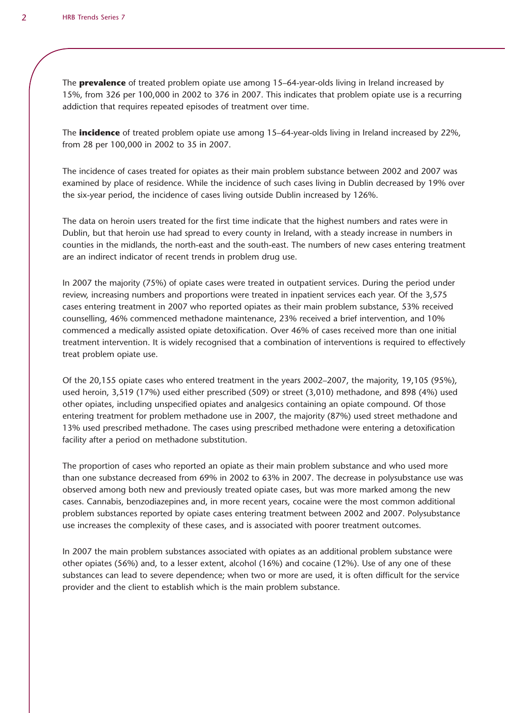The **prevalence** of treated problem opiate use among 15–64-year-olds living in Ireland increased by 15%, from 326 per 100,000 in 2002 to 376 in 2007. This indicates that problem opiate use is a recurring addiction that requires repeated episodes of treatment over time.

The **incidence** of treated problem opiate use among 15–64-year-olds living in Ireland increased by 22%, from 28 per 100,000 in 2002 to 35 in 2007.

The incidence of cases treated for opiates as their main problem substance between 2002 and 2007 was examined by place of residence. While the incidence of such cases living in Dublin decreased by 19% over the six-year period, the incidence of cases living outside Dublin increased by 126%.

The data on heroin users treated for the first time indicate that the highest numbers and rates were in Dublin, but that heroin use had spread to every county in Ireland, with a steady increase in numbers in counties in the midlands, the north-east and the south-east. The numbers of new cases entering treatment are an indirect indicator of recent trends in problem drug use.

In 2007 the majority (75%) of opiate cases were treated in outpatient services. During the period under review, increasing numbers and proportions were treated in inpatient services each year. Of the 3,575 cases entering treatment in 2007 who reported opiates as their main problem substance, 53% received counselling, 46% commenced methadone maintenance, 23% received a brief intervention, and 10% commenced a medically assisted opiate detoxification. Over 46% of cases received more than one initial treatment intervention. It is widely recognised that a combination of interventions is required to effectively treat problem opiate use.

Of the 20,155 opiate cases who entered treatment in the years 2002–2007, the majority, 19,105 (95%), used heroin, 3,519 (17%) used either prescribed (509) or street (3,010) methadone, and 898 (4%) used other opiates, including unspecified opiates and analgesics containing an opiate compound. Of those entering treatment for problem methadone use in 2007, the majority (87%) used street methadone and 13% used prescribed methadone. The cases using prescribed methadone were entering a detoxification facility after a period on methadone substitution.

The proportion of cases who reported an opiate as their main problem substance and who used more than one substance decreased from 69% in 2002 to 63% in 2007. The decrease in polysubstance use was observed among both new and previously treated opiate cases, but was more marked among the new cases. Cannabis, benzodiazepines and, in more recent years, cocaine were the most common additional problem substances reported by opiate cases entering treatment between 2002 and 2007. Polysubstance use increases the complexity of these cases, and is associated with poorer treatment outcomes.

In 2007 the main problem substances associated with opiates as an additional problem substance were other opiates (56%) and, to a lesser extent, alcohol (16%) and cocaine (12%). Use of any one of these substances can lead to severe dependence; when two or more are used, it is often difficult for the service provider and the client to establish which is the main problem substance.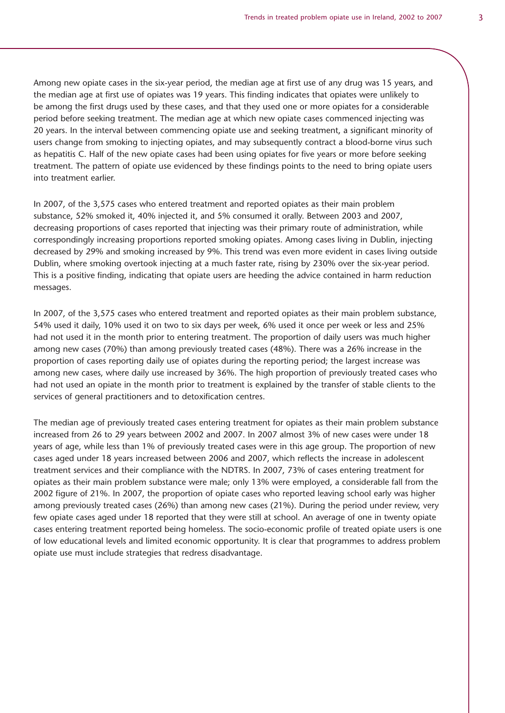Among new opiate cases in the six-year period, the median age at first use of any drug was 15 years, and the median age at first use of opiates was 19 years. This finding indicates that opiates were unlikely to be among the first drugs used by these cases, and that they used one or more opiates for a considerable period before seeking treatment. The median age at which new opiate cases commenced injecting was 20 years. In the interval between commencing opiate use and seeking treatment, a significant minority of users change from smoking to injecting opiates, and may subsequently contract a blood-borne virus such as hepatitis C. Half of the new opiate cases had been using opiates for five years or more before seeking treatment. The pattern of opiate use evidenced by these findings points to the need to bring opiate users into treatment earlier.

In 2007, of the 3,575 cases who entered treatment and reported opiates as their main problem substance, 52% smoked it, 40% injected it, and 5% consumed it orally. Between 2003 and 2007, decreasing proportions of cases reported that injecting was their primary route of administration, while correspondingly increasing proportions reported smoking opiates. Among cases living in Dublin, injecting decreased by 29% and smoking increased by 9%. This trend was even more evident in cases living outside Dublin, where smoking overtook injecting at a much faster rate, rising by 230% over the six-year period. This is a positive finding, indicating that opiate users are heeding the advice contained in harm reduction messages.

In 2007, of the 3,575 cases who entered treatment and reported opiates as their main problem substance, 54% used it daily, 10% used it on two to six days per week, 6% used it once per week or less and 25% had not used it in the month prior to entering treatment. The proportion of daily users was much higher among new cases (70%) than among previously treated cases (48%). There was a 26% increase in the proportion of cases reporting daily use of opiates during the reporting period; the largest increase was among new cases, where daily use increased by 36%. The high proportion of previously treated cases who had not used an opiate in the month prior to treatment is explained by the transfer of stable clients to the services of general practitioners and to detoxification centres.

The median age of previously treated cases entering treatment for opiates as their main problem substance increased from 26 to 29 years between 2002 and 2007. In 2007 almost 3% of new cases were under 18 years of age, while less than 1% of previously treated cases were in this age group. The proportion of new cases aged under 18 years increased between 2006 and 2007, which reflects the increase in adolescent treatment services and their compliance with the NDTRS. In 2007, 73% of cases entering treatment for opiates as their main problem substance were male; only 13% were employed, a considerable fall from the 2002 figure of 21%. In 2007, the proportion of opiate cases who reported leaving school early was higher among previously treated cases (26%) than among new cases (21%). During the period under review, very few opiate cases aged under 18 reported that they were still at school. An average of one in twenty opiate cases entering treatment reported being homeless. The socio-economic profile of treated opiate users is one of low educational levels and limited economic opportunity. It is clear that programmes to address problem opiate use must include strategies that redress disadvantage.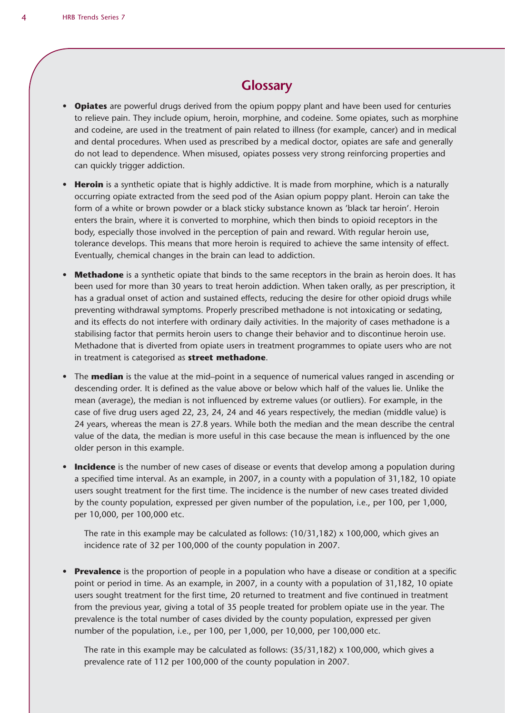# **Glossary**

- Opiates are powerful drugs derived from the opium poppy plant and have been used for centuries to relieve pain. They include opium, heroin, morphine, and codeine. Some opiates, such as morphine and codeine, are used in the treatment of pain related to illness (for example, cancer) and in medical and dental procedures. When used as prescribed by a medical doctor, opiates are safe and generally do not lead to dependence. When misused, opiates possess very strong reinforcing properties and can quickly trigger addiction.
- **Heroin** is a synthetic opiate that is highly addictive. It is made from morphine, which is a naturally occurring opiate extracted from the seed pod of the Asian opium poppy plant. Heroin can take the form of a white or brown powder or a black sticky substance known as 'black tar heroin'. Heroin enters the brain, where it is converted to morphine, which then binds to opioid receptors in the body, especially those involved in the perception of pain and reward. With regular heroin use, tolerance develops. This means that more heroin is required to achieve the same intensity of effect. Eventually, chemical changes in the brain can lead to addiction.
- **Methadone** is a synthetic opiate that binds to the same receptors in the brain as heroin does. It has been used for more than 30 years to treat heroin addiction. When taken orally, as per prescription, it has a gradual onset of action and sustained effects, reducing the desire for other opioid drugs while preventing withdrawal symptoms. Properly prescribed methadone is not intoxicating or sedating, and its effects do not interfere with ordinary daily activities. In the majority of cases methadone is a stabilising factor that permits heroin users to change their behavior and to discontinue heroin use. Methadone that is diverted from opiate users in treatment programmes to opiate users who are not in treatment is categorised as **street methadone**.
- The **median** is the value at the mid–point in a sequence of numerical values ranged in ascending or descending order. It is defined as the value above or below which half of the values lie. Unlike the mean (average), the median is not influenced by extreme values (or outliers). For example, in the case of five drug users aged 22, 23, 24, 24 and 46 years respectively, the median (middle value) is 24 years, whereas the mean is 27.8 years. While both the median and the mean describe the central value of the data, the median is more useful in this case because the mean is influenced by the one older person in this example.
- Incidence is the number of new cases of disease or events that develop among a population during a specified time interval. As an example, in 2007, in a county with a population of 31,182, 10 opiate users sought treatment for the first time. The incidence is the number of new cases treated divided by the county population, expressed per given number of the population, i.e., per 100, per 1,000, per 10,000, per 100,000 etc.

The rate in this example may be calculated as follows:  $(10/31,182) \times 100,000$ , which gives an incidence rate of 32 per 100,000 of the county population in 2007.

• **Prevalence** is the proportion of people in a population who have a disease or condition at a specific point or period in time. As an example, in 2007, in a county with a population of 31,182, 10 opiate users sought treatment for the first time, 20 returned to treatment and five continued in treatment from the previous year, giving a total of 35 people treated for problem opiate use in the year. The prevalence is the total number of cases divided by the county population, expressed per given number of the population, i.e., per 100, per 1,000, per 10,000, per 100,000 etc.

The rate in this example may be calculated as follows:  $(35/31,182) \times 100,000$ , which gives a prevalence rate of 112 per 100,000 of the county population in 2007.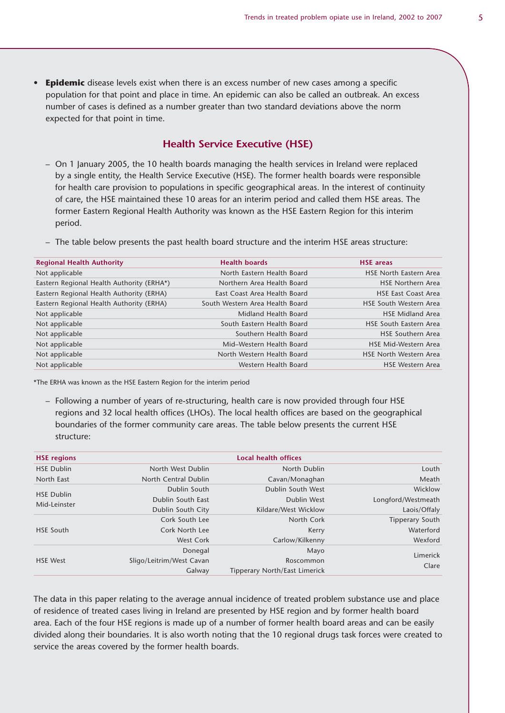**Epidemic** disease levels exist when there is an excess number of new cases among a specific population for that point and place in time. An epidemic can also be called an outbreak. An excess number of cases is defined as a number greater than two standard deviations above the norm expected for that point in time.

### **Health Service Executive (HSE)**

- On 1 January 2005, the 10 health boards managing the health services in Ireland were replaced by a single entity, the Health Service Executive (HSE). The former health boards were responsible for health care provision to populations in specific geographical areas. In the interest of continuity of care, the HSE maintained these 10 areas for an interim period and called them HSE areas. The former Eastern Regional Health Authority was known as the HSE Eastern Region for this interim period.
- The table below presents the past health board structure and the interim HSE areas structure:

| <b>Regional Health Authority</b>          | <b>Health boards</b>            | <b>HSE</b> areas              |
|-------------------------------------------|---------------------------------|-------------------------------|
| Not applicable                            | North Eastern Health Board      | <b>HSE North Eastern Area</b> |
| Eastern Regional Health Authority (ERHA*) | Northern Area Health Board      | <b>HSE Northern Area</b>      |
| Eastern Regional Health Authority (ERHA)  | East Coast Area Health Board    | <b>HSE East Coast Area</b>    |
| Eastern Regional Health Authority (ERHA)  | South Western Area Health Board | <b>HSE South Western Area</b> |
| Not applicable                            | Midland Health Board            | <b>HSE Midland Area</b>       |
| Not applicable                            | South Eastern Health Board      | <b>HSE South Eastern Area</b> |
| Not applicable                            | Southern Health Board           | <b>HSE Southern Area</b>      |
| Not applicable                            | Mid-Western Health Board        | <b>HSE Mid-Western Area</b>   |
| Not applicable                            | North Western Health Board      | <b>HSE North Western Area</b> |
| Not applicable                            | Western Health Board            | <b>HSE Western Area</b>       |

\*The ERHA was known as the HSE Eastern Region for the interim period

– Following a number of years of re-structuring, health care is now provided through four HSE regions and 32 local health offices (LHOs). The local health offices are based on the geographical boundaries of the former community care areas. The table below presents the current HSE structure:

| <b>HSE regions</b> |                          | Local health offices                 |                    |
|--------------------|--------------------------|--------------------------------------|--------------------|
| <b>HSE Dublin</b>  | North West Dublin        | North Dublin                         | Louth              |
| North East         | North Central Dublin     | Cavan/Monaghan                       | Meath              |
| <b>HSE Dublin</b>  | Dublin South             | Dublin South West                    | Wicklow            |
| Mid-Leinster       | Dublin South East        | Dublin West                          | Longford/Westmeath |
|                    | Dublin South City        | Kildare/West Wicklow                 | Laois/Offaly       |
|                    | Cork South Lee           | North Cork                           | Tipperary South    |
| <b>HSE South</b>   | Cork North Lee           | Kerry                                | Waterford          |
|                    | <b>West Cork</b>         | Carlow/Kilkenny                      | Wexford            |
|                    | Donegal                  | Mayo                                 | Limerick           |
| <b>HSE West</b>    | Sligo/Leitrim/West Cavan | Roscommon                            |                    |
|                    | Galway                   | <b>Tipperary North/East Limerick</b> | Clare              |

The data in this paper relating to the average annual incidence of treated problem substance use and place of residence of treated cases living in Ireland are presented by HSE region and by former health board area. Each of the four HSE regions is made up of a number of former health board areas and can be easily divided along their boundaries. It is also worth noting that the 10 regional drugs task forces were created to service the areas covered by the former health boards.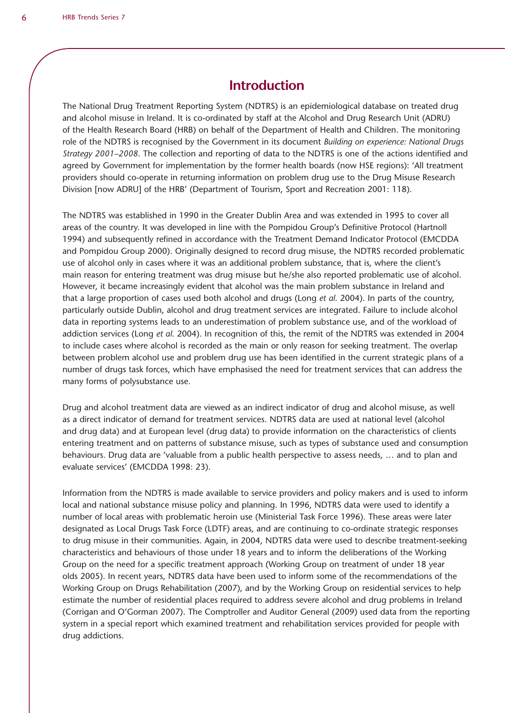# **Introduction**

The National Drug Treatment Reporting System (NDTRS) is an epidemiological database on treated drug and alcohol misuse in Ireland. It is co-ordinated by staff at the Alcohol and Drug Research Unit (ADRU) of the Health Research Board (HRB) on behalf of the Department of Health and Children. The monitoring role of the NDTRS is recognised by the Government in its document *Building on experience: National Drugs Strategy 2001–2008*. The collection and reporting of data to the NDTRS is one of the actions identified and agreed by Government for implementation by the former health boards (now HSE regions): 'All treatment providers should co-operate in returning information on problem drug use to the Drug Misuse Research Division [now ADRU] of the HRB' (Department of Tourism, Sport and Recreation 2001: 118).

The NDTRS was established in 1990 in the Greater Dublin Area and was extended in 1995 to cover all areas of the country. It was developed in line with the Pompidou Group's Definitive Protocol (Hartnoll 1994) and subsequently refined in accordance with the Treatment Demand Indicator Protocol (EMCDDA and Pompidou Group 2000). Originally designed to record drug misuse, the NDTRS recorded problematic use of alcohol only in cases where it was an additional problem substance, that is, where the client's main reason for entering treatment was drug misuse but he/she also reported problematic use of alcohol. However, it became increasingly evident that alcohol was the main problem substance in Ireland and that a large proportion of cases used both alcohol and drugs (Long *et al*. 2004). In parts of the country, particularly outside Dublin, alcohol and drug treatment services are integrated. Failure to include alcohol data in reporting systems leads to an underestimation of problem substance use, and of the workload of addiction services (Long *et al*. 2004). In recognition of this, the remit of the NDTRS was extended in 2004 to include cases where alcohol is recorded as the main or only reason for seeking treatment. The overlap between problem alcohol use and problem drug use has been identified in the current strategic plans of a number of drugs task forces, which have emphasised the need for treatment services that can address the many forms of polysubstance use.

Drug and alcohol treatment data are viewed as an indirect indicator of drug and alcohol misuse, as well as a direct indicator of demand for treatment services. NDTRS data are used at national level (alcohol and drug data) and at European level (drug data) to provide information on the characteristics of clients entering treatment and on patterns of substance misuse, such as types of substance used and consumption behaviours. Drug data are 'valuable from a public health perspective to assess needs, … and to plan and evaluate services' (EMCDDA 1998: 23).

Information from the NDTRS is made available to service providers and policy makers and is used to inform local and national substance misuse policy and planning. In 1996, NDTRS data were used to identify a number of local areas with problematic heroin use (Ministerial Task Force 1996). These areas were later designated as Local Drugs Task Force (LDTF) areas, and are continuing to co-ordinate strategic responses to drug misuse in their communities. Again, in 2004, NDTRS data were used to describe treatment-seeking characteristics and behaviours of those under 18 years and to inform the deliberations of the Working Group on the need for a specific treatment approach (Working Group on treatment of under 18 year olds 2005). In recent years, NDTRS data have been used to inform some of the recommendations of the Working Group on Drugs Rehabilitation (2007), and by the Working Group on residential services to help estimate the number of residential places required to address severe alcohol and drug problems in Ireland (Corrigan and O'Gorman 2007). The Comptroller and Auditor General (2009) used data from the reporting system in a special report which examined treatment and rehabilitation services provided for people with drug addictions.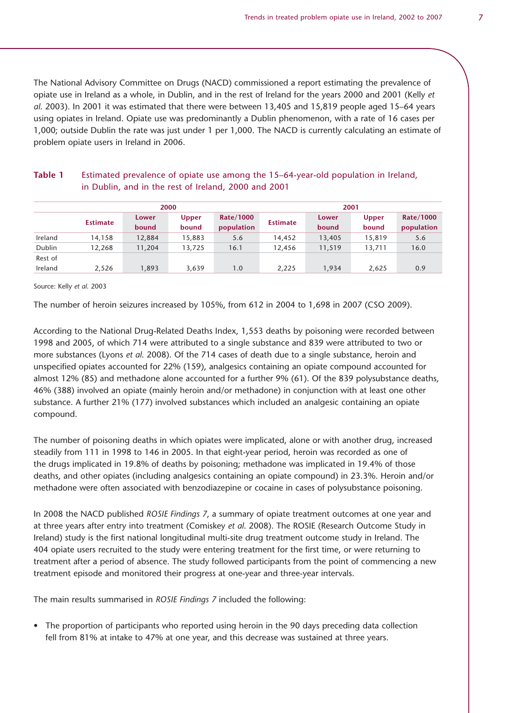The National Advisory Committee on Drugs (NACD) commissioned a report estimating the prevalence of opiate use in Ireland as a whole, in Dublin, and in the rest of Ireland for the years 2000 and 2001 (Kelly *et al*. 2003). In 2001 it was estimated that there were between 13,405 and 15,819 people aged 15–64 years using opiates in Ireland. Opiate use was predominantly a Dublin phenomenon, with a rate of 16 cases per 1,000; outside Dublin the rate was just under 1 per 1,000. The NACD is currently calculating an estimate of problem opiate users in Ireland in 2006.

|         |          | 2000           |                       |                         | 2001            |                |                       |                         |  |  |
|---------|----------|----------------|-----------------------|-------------------------|-----------------|----------------|-----------------------|-------------------------|--|--|
|         | Estimate | Lower<br>bound | <b>Upper</b><br>bound | Rate/1000<br>population | <b>Estimate</b> | Lower<br>bound | <b>Upper</b><br>bound | Rate/1000<br>population |  |  |
| Ireland | 14,158   | 12,884         | 15,883                | 5.6                     | 14,452          | 13,405         | 15,819                | 5.6                     |  |  |
| Dublin  | 12,268   | 11,204         | 13,725                | 16.1                    | 12,456          | 11,519         | 13,711                | 16.0                    |  |  |
| Rest of |          |                |                       |                         |                 |                |                       |                         |  |  |
| Ireland | 2,526    | 1,893          | 3,639                 | 1.0                     | 2,225           | 1,934          | 2,625                 | 0.9                     |  |  |

## **Table 1** Estimated prevalence of opiate use among the 15–64-year-old population in Ireland, in Dublin, and in the rest of Ireland, 2000 and 2001

Source: Kelly *et al*. 2003

The number of heroin seizures increased by 105%, from 612 in 2004 to 1,698 in 2007 (CSO 2009).

According to the National Drug-Related Deaths Index, 1,553 deaths by poisoning were recorded between 1998 and 2005, of which 714 were attributed to a single substance and 839 were attributed to two or more substances (Lyons *et al*. 2008). Of the 714 cases of death due to a single substance, heroin and unspecified opiates accounted for 22% (159), analgesics containing an opiate compound accounted for almost 12% (85) and methadone alone accounted for a further 9% (61). Of the 839 polysubstance deaths, 46% (388) involved an opiate (mainly heroin and/or methadone) in conjunction with at least one other substance. A further 21% (177) involved substances which included an analgesic containing an opiate compound.

The number of poisoning deaths in which opiates were implicated, alone or with another drug, increased steadily from 111 in 1998 to 146 in 2005. In that eight-year period, heroin was recorded as one of the drugs implicated in 19.8% of deaths by poisoning; methadone was implicated in 19.4% of those deaths, and other opiates (including analgesics containing an opiate compound) in 23.3%. Heroin and/or methadone were often associated with benzodiazepine or cocaine in cases of polysubstance poisoning.

In 2008 the NACD published *ROSIE Findings 7*, a summary of opiate treatment outcomes at one year and at three years after entry into treatment (Comiskey *et al*. 2008). The ROSIE (Research Outcome Study in Ireland) study is the first national longitudinal multi-site drug treatment outcome study in Ireland. The 404 opiate users recruited to the study were entering treatment for the first time, or were returning to treatment after a period of absence. The study followed participants from the point of commencing a new treatment episode and monitored their progress at one-year and three-year intervals.

The main results summarised in *ROSIE Findings 7* included the following:

• The proportion of participants who reported using heroin in the 90 days preceding data collection fell from 81% at intake to 47% at one year, and this decrease was sustained at three years.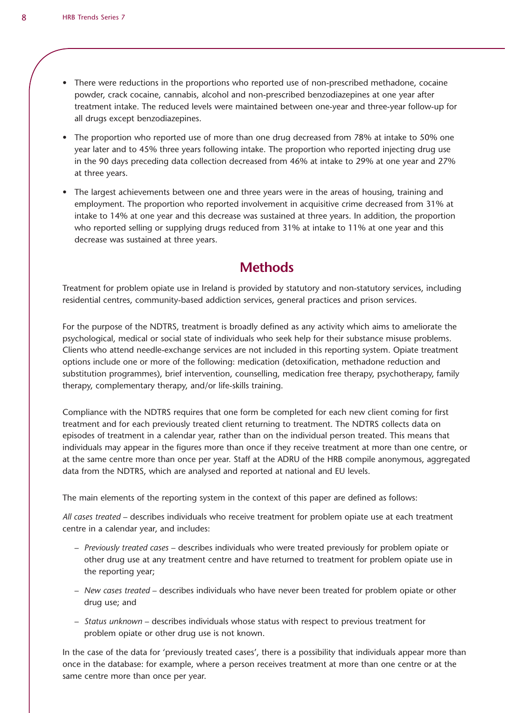- There were reductions in the proportions who reported use of non-prescribed methadone, cocaine powder, crack cocaine, cannabis, alcohol and non-prescribed benzodiazepines at one year after treatment intake. The reduced levels were maintained between one-year and three-year follow-up for all drugs except benzodiazepines.
- The proportion who reported use of more than one drug decreased from 78% at intake to 50% one year later and to 45% three years following intake. The proportion who reported injecting drug use in the 90 days preceding data collection decreased from 46% at intake to 29% at one year and 27% at three years.
- The largest achievements between one and three years were in the areas of housing, training and employment. The proportion who reported involvement in acquisitive crime decreased from 31% at intake to 14% at one year and this decrease was sustained at three years. In addition, the proportion who reported selling or supplying drugs reduced from 31% at intake to 11% at one year and this decrease was sustained at three years.

# **Methods**

Treatment for problem opiate use in Ireland is provided by statutory and non-statutory services, including residential centres, community-based addiction services, general practices and prison services.

For the purpose of the NDTRS, treatment is broadly defined as any activity which aims to ameliorate the psychological, medical or social state of individuals who seek help for their substance misuse problems. Clients who attend needle-exchange services are not included in this reporting system. Opiate treatment options include one or more of the following: medication (detoxification, methadone reduction and substitution programmes), brief intervention, counselling, medication free therapy, psychotherapy, family therapy, complementary therapy, and/or life-skills training.

Compliance with the NDTRS requires that one form be completed for each new client coming for first treatment and for each previously treated client returning to treatment. The NDTRS collects data on episodes of treatment in a calendar year, rather than on the individual person treated. This means that individuals may appear in the figures more than once if they receive treatment at more than one centre, or at the same centre more than once per year. Staff at the ADRU of the HRB compile anonymous, aggregated data from the NDTRS, which are analysed and reported at national and EU levels.

The main elements of the reporting system in the context of this paper are defined as follows:

*All cases treated* – describes individuals who receive treatment for problem opiate use at each treatment centre in a calendar year, and includes:

- Previously treated cases describes individuals who were treated previously for problem opiate or other drug use at any treatment centre and have returned to treatment for problem opiate use in the reporting year;
- New cases treated describes individuals who have never been treated for problem opiate or other drug use; and
- Status unknown describes individuals whose status with respect to previous treatment for problem opiate or other drug use is not known.

In the case of the data for 'previously treated cases', there is a possibility that individuals appear more than once in the database: for example, where a person receives treatment at more than one centre or at the same centre more than once per year.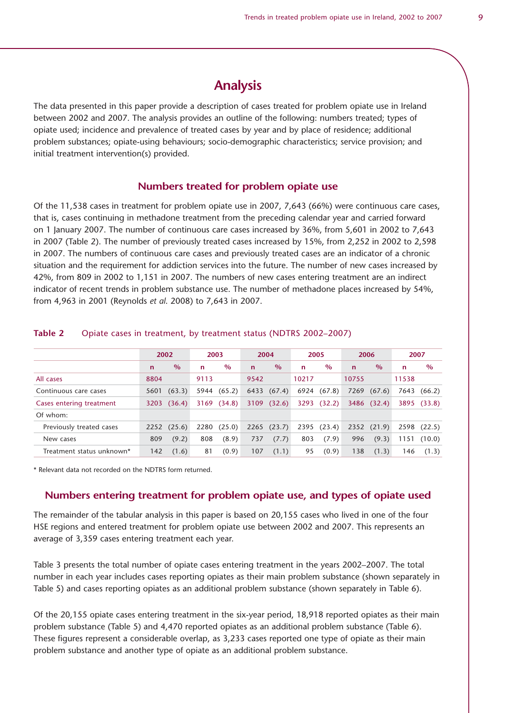# **Analysis**

The data presented in this paper provide a description of cases treated for problem opiate use in Ireland between 2002 and 2007. The analysis provides an outline of the following: numbers treated; types of opiate used; incidence and prevalence of treated cases by year and by place of residence; additional problem substances; opiate-using behaviours; socio-demographic characteristics; service provision; and initial treatment intervention(s) provided.

#### **Numbers treated for problem opiate use**

Of the 11,538 cases in treatment for problem opiate use in 2007, 7,643 (66%) were continuous care cases, that is, cases continuing in methadone treatment from the preceding calendar year and carried forward on 1 January 2007. The number of continuous care cases increased by 36%, from 5,601 in 2002 to 7,643 in 2007 (Table 2). The number of previously treated cases increased by 15%, from 2,252 in 2002 to 2,598 in 2007. The numbers of continuous care cases and previously treated cases are an indicator of a chronic situation and the requirement for addiction services into the future. The number of new cases increased by 42%, from 809 in 2002 to 1,151 in 2007. The numbers of new cases entering treatment are an indirect indicator of recent trends in problem substance use. The number of methadone places increased by 54%, from 4,963 in 2001 (Reynolds *et al*. 2008) to 7,643 in 2007.

|                           |             | 2002   |             | 2003        | 2004         |                 |       | 2005   |              | 2006          |       | 2007        |
|---------------------------|-------------|--------|-------------|-------------|--------------|-----------------|-------|--------|--------------|---------------|-------|-------------|
|                           | $\mathbf n$ | $\%$   | $\mathbf n$ | $\%$        | $\mathsf{n}$ | $\frac{0}{0}$   | n     | $\%$   | $\mathsf{n}$ | $\frac{0}{0}$ | n.    | $\%$        |
| All cases                 | 8804        |        | 9113        |             | 9542         |                 | 10217 |        | 10755        |               | 11538 |             |
| Continuous care cases     | 5601        | (63.3) |             | 5944 (65.2) | 6433         | (67.4)          | 6924  | (67.8) | 7269         | (67.6)        |       | 7643 (66.2) |
| Cases entering treatment  | 3203        | (36.4) |             | 3169 (34.8) |              | 3109 (32.6)     | 3293  | (32.2) |              | 3486 (32.4)   |       | 3895 (33.8) |
| Of whom:                  |             |        |             |             |              |                 |       |        |              |               |       |             |
| Previously treated cases  | 2252        | (25.6) | 2280        | (25.0)      |              | $2265$ $(23.7)$ | 2395  | (23.4) |              | 2352(21.9)    |       | 2598 (22.5) |
| New cases                 | 809         | (9.2)  | 808         | (8.9)       | 737          | (7.7)           | 803   | (7.9)  | 996          | (9.3)         | 1151  | (10.0)      |
| Treatment status unknown* | 142         | (1.6)  | 81          | (0.9)       | 107          | (1.1)           | 95    | (0.9)  | 138          | (1.3)         | 146   | (1.3)       |

#### **Table 2** Opiate cases in treatment, by treatment status (NDTRS 2002–2007)

\* Relevant data not recorded on the NDTRS form returned.

# **Numbers entering treatment for problem opiate use, and types of opiate used**

The remainder of the tabular analysis in this paper is based on 20,155 cases who lived in one of the four HSE regions and entered treatment for problem opiate use between 2002 and 2007. This represents an average of 3,359 cases entering treatment each year.

Table 3 presents the total number of opiate cases entering treatment in the years 2002–2007. The total number in each year includes cases reporting opiates as their main problem substance (shown separately in Table 5) and cases reporting opiates as an additional problem substance (shown separately in Table 6).

Of the 20,155 opiate cases entering treatment in the six-year period, 18,918 reported opiates as their main problem substance (Table 5) and 4,470 reported opiates as an additional problem substance (Table 6). These figures represent a considerable overlap, as 3,233 cases reported one type of opiate as their main problem substance and another type of opiate as an additional problem substance.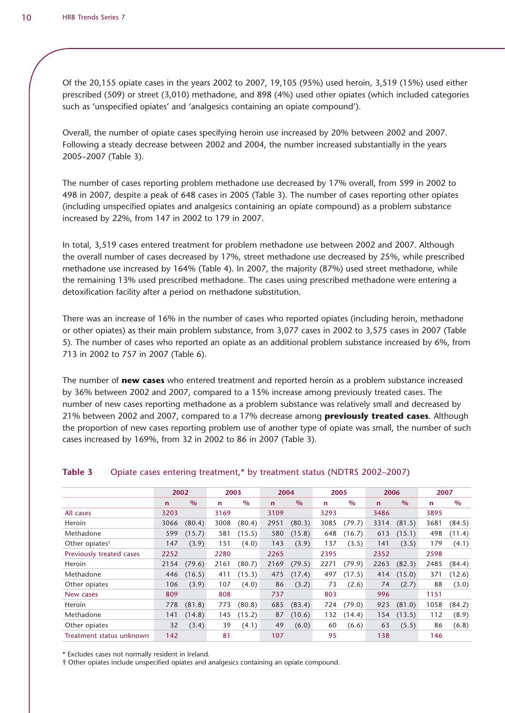Of the 20,155 opiate cases in the years 2002 to 2007, 19,105 (95%) used heroin, 3,519 (15%) used either prescribed (509) or street (3,010) methadone, and 898 (4%) used other opiates (which included categories such as 'unspecified opiates' and 'analgesics containing an opiate compound').

Overall, the number of opiate cases specifying heroin use increased by 20% between 2002 and 2007. Following a steady decrease between 2002 and 2004, the number increased substantially in the years 2005–2007 (Table 3).

The number of cases reporting problem methadone use decreased by 17% overall, from 599 in 2002 to 498 in 2007, despite a peak of 648 cases in 2005 (Table 3). The number of cases reporting other opiates (including unspecified opiates and analgesics containing an opiate compound) as a problem substance increased by 22%, from 147 in 2002 to 179 in 2007.

In total, 3,519 cases entered treatment for problem methadone use between 2002 and 2007. Although the overall number of cases decreased by 17%, street methadone use decreased by 25%, while prescribed methadone use increased by 164% (Table 4). In 2007, the majority (87%) used street methadone, while the remaining 13% used prescribed methadone. The cases using prescribed methadone were entering a detoxification facility after a period on methadone substitution.

There was an increase of 16% in the number of cases who reported opiates (including heroin, methadone or other opiates) as their main problem substance, from 3,077 cases in 2002 to 3,575 cases in 2007 (Table 5). The number of cases who reported an opiate as an additional problem substance increased by 6%, from 713 in 2002 to 757 in 2007 (Table 6).

The number of **new cases** who entered treatment and reported heroin as a problem substance increased by 36% between 2002 and 2007, compared to a 15% increase among previously treated cases. The number of new cases reporting methadone as a problem substance was relatively small and decreased by 21% between 2002 and 2007, compared to a 17% decrease among **previously treated cases**. Although the proportion of new cases reporting problem use of another type of opiate was small, the number of such cases increased by 169%, from 32 in 2002 to 86 in 2007 (Table 3).

|                            | 2002         |        | 2003         |        | 2004        |               | 2005         |        | 2006        |        | 2007        |        |
|----------------------------|--------------|--------|--------------|--------|-------------|---------------|--------------|--------|-------------|--------|-------------|--------|
|                            | $\mathsf{n}$ | $\%$   | $\mathsf{n}$ | $\%$   | $\mathbf n$ | $\frac{0}{0}$ | $\mathsf{n}$ | $\%$   | $\mathbf n$ | $\%$   | $\mathbf n$ | $\%$   |
| All cases                  | 3203         |        | 3169         |        | 3109        |               | 3293         |        | 3486        |        | 3895        |        |
| Heroin                     | 3066         | (80.4) | 3008         | (80.4) | 2951        | (80.3)        | 3085         | (79.7) | 3314        | (81.5) | 3681        | (84.5) |
| Methadone                  | 599          | (15.7) | 581          | (15.5) | 580         | (15.8)        | 648          | (16.7) | 613         | (15.1) | 498         | (11.4) |
| Other opiates <sup>†</sup> | 147          | (3.9)  | 151          | (4.0)  | 143         | (3.9)         | 137          | (3.5)  | 141         | (3.5)  | 179         | (4.1)  |
| Previously treated cases   | 2252         |        | 2280         |        | 2265        |               | 2395         |        | 2352        |        | 2598        |        |
| Heroin                     | 2154         | (79.6) | 2161         | (80.7) | 2169        | (79.5)        | 2271         | (79.9) | 2263        | (82.3) | 2485        | (84.4) |
| Methadone                  | 446          | (16.5) | 411          | (15.3) | 475         | (17.4)        | 497          | (17.5) | 414         | (15.0) | 371         | (12.6) |
| Other opiates              | 106          | (3.9)  | 107          | (4.0)  | 86          | (3.2)         | 73           | (2.6)  | 74          | (2.7)  | 88          | (3.0)  |
| New cases                  | 809          |        | 808          |        | 737         |               | 803          |        | 996         |        | 1151        |        |
| Heroin                     | 778          | (81.8) | 773          | (80.8) | 685         | (83.4)        | 724          | (79.0) | 923         | (81.0) | 1058        | (84.2) |
| Methadone                  | 141          | (14.8) | 145          | (15.2) | 87          | (10.6)        | 132          | (14.4) | 154         | (13.5) | 112         | (8.9)  |
| Other opiates              | 32           | (3.4)  | 39           | (4.1)  | 49          | (6.0)         | 60           | (6.6)  | 63          | (5.5)  | 86          | (6.8)  |
| Treatment status unknown   | 142          |        | 81           |        | 107         |               | 95           |        | 138         |        | 146         |        |

#### **Table 3** Opiate cases entering treatment,\* by treatment status (NDTRS 2002–2007)

\* Excludes cases not normally resident in Ireland.

† Other opiates include unspecified opiates and analgesics containing an opiate compound.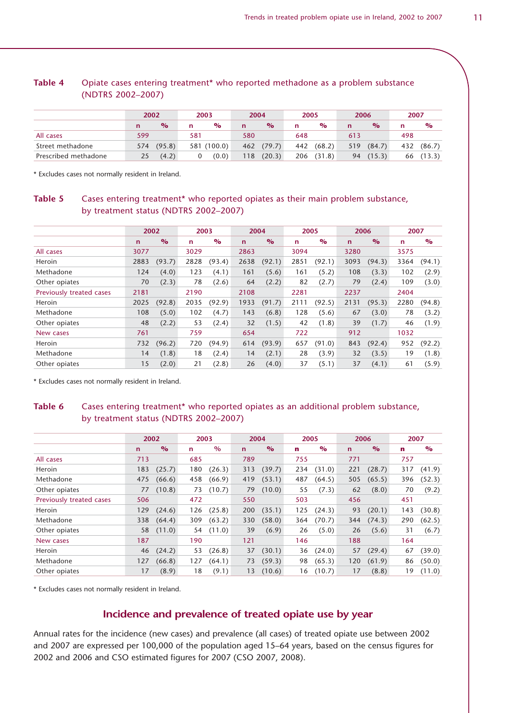|                      | 2002 |               | 2003 |               | 2004 |               | 2005 |               | 2006        |               | 2007 |               |
|----------------------|------|---------------|------|---------------|------|---------------|------|---------------|-------------|---------------|------|---------------|
|                      |      | $\frac{1}{2}$ | n    | $\frac{O}{O}$ | n    | $\frac{O}{O}$ | n    | $\frac{1}{2}$ | $\mathbf n$ | $\frac{1}{2}$ | n    | $\frac{1}{2}$ |
| All cases            | 599  |               | 581  |               | 580  |               | 648  |               | 613         |               | 498  |               |
| Street methadone     | 574  | (95.8)        |      | 581 (100.0)   | 462  | (79.7)        | 442  | (68.2)        | 519         | (84.7)        | 432  | (86.7)        |
| Prescribed methadone | 25   | (4.2)         |      | (0.0)         | 118  | (20.3)        | 206  | (31.8)        | 94          | (15.3)        | 66   | (13.3)        |

### **Table 4** Opiate cases entering treatment\* who reported methadone as a problem substance (NDTRS 2002–2007)

\* Excludes cases not normally resident in Ireland.

# **Table 5** Cases entering treatment\* who reported opiates as their main problem substance, by treatment status (NDTRS 2002–2007)

|                          | 2002        |               | 2003         |               | 2004        |               | 2005         |        | 2006         |               | 2007         |        |
|--------------------------|-------------|---------------|--------------|---------------|-------------|---------------|--------------|--------|--------------|---------------|--------------|--------|
|                          | $\mathbf n$ | $\frac{6}{6}$ | $\mathsf{n}$ | $\frac{6}{6}$ | $\mathbf n$ | $\frac{6}{6}$ | $\mathsf{n}$ | $\%$   | $\mathsf{n}$ | $\frac{6}{6}$ | $\mathsf{n}$ | $\%$   |
| All cases                | 3077        |               | 3029         |               | 2863        |               | 3094         |        | 3280         |               | 3575         |        |
| Heroin                   | 2883        | (93.7)        | 2828         | (93.4)        | 2638        | (92.1)        | 2851         | (92.1) | 3093         | (94.3)        | 3364         | (94.1) |
| Methadone                | 124         | (4.0)         | 123          | (4.1)         | 161         | (5.6)         | 161          | (5.2)  | 108          | (3.3)         | 102          | (2.9)  |
| Other opiates            | 70          | (2.3)         | 78           | (2.6)         | 64          | (2.2)         | 82           | (2.7)  | 79           | (2.4)         | 109          | (3.0)  |
| Previously treated cases | 2181        |               | 2190         |               | 2108        |               | 2281         |        | 2237         |               | 2404         |        |
| Heroin                   | 2025        | (92.8)        | 2035         | (92.9)        | 1933        | (91.7)        | 2111         | (92.5) | 2131         | (95.3)        | 2280         | (94.8) |
| Methadone                | 108         | (5.0)         | 102          | (4.7)         | 143         | (6.8)         | 128          | (5.6)  | 67           | (3.0)         | 78           | (3.2)  |
| Other opiates            | 48          | (2.2)         | 53           | (2.4)         | 32          | (1.5)         | 42           | (1.8)  | 39           | (1.7)         | 46           | (1.9)  |
| New cases                | 761         |               | 759          |               | 654         |               | 722          |        | 912          |               | 1032         |        |
| Heroin                   | 732         | (96.2)        | 720          | (94.9)        | 614         | (93.9)        | 657          | (91.0) | 843          | (92.4)        | 952          | (92.2) |
| Methadone                | 14          | (1.8)         | 18           | (2.4)         | 14          | (2.1)         | 28           | (3.9)  | 32           | (3.5)         | 19           | (1.8)  |
| Other opiates            | 15          | (2.0)         | 21           | (2.8)         | 26          | (4.0)         | 37           | (5.1)  | 37           | (4.1)         | 61           | (5.9)  |

\* Excludes cases not normally resident in Ireland.

#### **Table 6** Cases entering treatment\* who reported opiates as an additional problem substance, by treatment status (NDTRS 2002–2007)

|                          | 2002        |        | 2003         |        | 2004        |               | 2005 |        | 2006        |               | 2007        |               |
|--------------------------|-------------|--------|--------------|--------|-------------|---------------|------|--------|-------------|---------------|-------------|---------------|
|                          | $\mathbf n$ | $\%$   | $\mathsf{n}$ | $\%$   | $\mathbf n$ | $\frac{6}{6}$ | n    | $\%$   | $\mathbf n$ | $\frac{6}{6}$ | $\mathbf n$ | $\frac{6}{2}$ |
| All cases                | 713         |        | 685          |        | 789         |               | 755  |        | 771         |               | 757         |               |
| Heroin                   | 183         | (25.7) | 180          | (26.3) | 313         | (39.7)        | 234  | (31.0) | 221         | (28.7)        | 317         | (41.9)        |
| Methadone                | 475         | (66.6) | 458          | (66.9) | 419         | (53.1)        | 487  | (64.5) | 505         | (65.5)        | 396         | (52.3)        |
| Other opiates            | 77          | (10.8) | 73           | (10.7) | 79          | (10.0)        | 55   | (7.3)  | 62          | (8.0)         | 70          | (9.2)         |
| Previously treated cases | 506         |        | 472          |        | 550         |               | 503  |        | 456         |               | 451         |               |
| Heroin                   | 129         | (24.6) | 126          | (25.8) | 200         | (35.1)        | 125  | (24.3) | 93          | (20.1)        | 143         | (30.8)        |
| Methadone                | 338         | (64.4) | 309          | (63.2) | 330         | (58.0)        | 364  | (70.7) | 344         | (74.3)        | 290         | (62.5)        |
| Other opiates            | 58          | (11.0) | 54           | (11.0) | 39          | (6.9)         | 26   | (5.0)  | 26          | (5.6)         | 31          | (6.7)         |
| New cases                | 187         |        | 190          |        | 121         |               | 146  |        | 188         |               | 164         |               |
| Heroin                   | 46          | (24.2) | 53           | (26.8) | 37          | (30.1)        | 36   | (24.0) | 57          | (29.4)        | 67          | (39.0)        |
| Methadone                | 127         | (66.8) | 127          | (64.1) | 73          | (59.3)        | 98   | (65.3) | 120         | (61.9)        | 86          | (50.0)        |
| Other opiates            | 17          | (8.9)  | 18           | (9.1)  | 13          | (10.6)        | 16   | (10.7) | 17          | (8.8)         | 19          | (11.0)        |

\* Excludes cases not normally resident in Ireland.

## **Incidence and prevalence of treated opiate use by year**

Annual rates for the incidence (new cases) and prevalence (all cases) of treated opiate use between 2002 and 2007 are expressed per 100,000 of the population aged 15–64 years, based on the census figures for 2002 and 2006 and CSO estimated figures for 2007 (CSO 2007, 2008).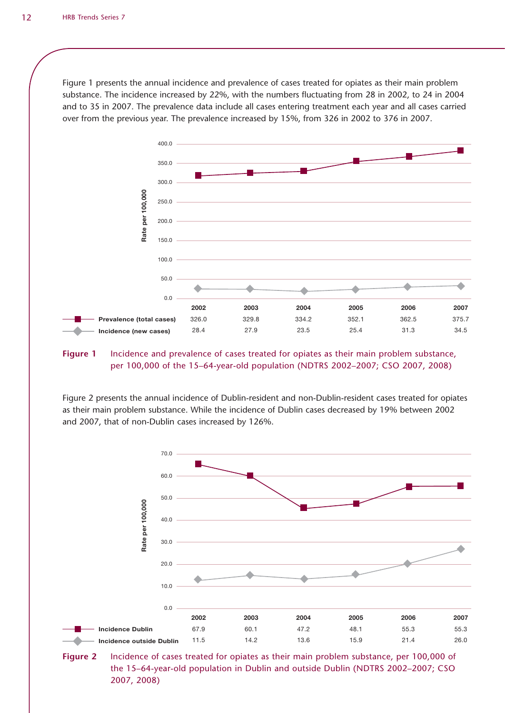Figure 1 presents the annual incidence and prevalence of cases treated for opiates as their main problem substance. The incidence increased by 22%, with the numbers fluctuating from 28 in 2002, to 24 in 2004 and to 35 in 2007. The prevalence data include all cases entering treatment each year and all cases carried over from the previous year. The prevalence increased by 15%, from 326 in 2002 to 376 in 2007.



#### **Figure 1** Incidence and prevalence of cases treated for opiates as their main problem substance, per 100,000 of the 15–64-year-old population (NDTRS 2002–2007; CSO 2007, 2008)

Figure 2 presents the annual incidence of Dublin-resident and non-Dublin-resident cases treated for opiates as their main problem substance. While the incidence of Dublin cases decreased by 19% between 2002 and 2007, that of non-Dublin cases increased by 126%.



**Figure 2** Incidence of cases treated for opiates as their main problem substance, per 100,000 of the 15–64-year-old population in Dublin and outside Dublin (NDTRS 2002–2007; CSO 2007, 2008)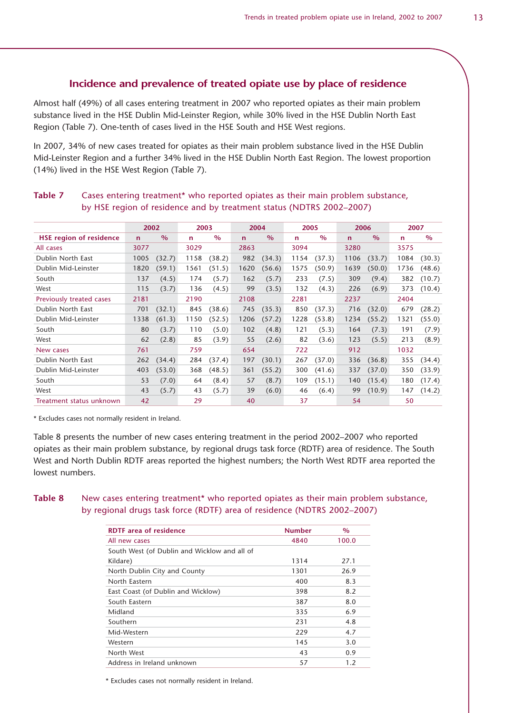### **Incidence and prevalence of treated opiate use by place of residence**

Almost half (49%) of all cases entering treatment in 2007 who reported opiates as their main problem substance lived in the HSE Dublin Mid-Leinster Region, while 30% lived in the HSE Dublin North East Region (Table 7). One-tenth of cases lived in the HSE South and HSE West regions.

In 2007, 34% of new cases treated for opiates as their main problem substance lived in the HSE Dublin Mid-Leinster Region and a further 34% lived in the HSE Dublin North East Region. The lowest proportion (14%) lived in the HSE West Region (Table 7).

|                                |              | 2002          | 2003 |               | 2004        |               | 2005        |               | 2006        |               | 2007        |               |
|--------------------------------|--------------|---------------|------|---------------|-------------|---------------|-------------|---------------|-------------|---------------|-------------|---------------|
| <b>HSE region of residence</b> | $\mathsf{n}$ | $\frac{0}{0}$ | n.   | $\frac{0}{0}$ | $\mathbf n$ | $\frac{0}{0}$ | $\mathbf n$ | $\frac{0}{0}$ | $\mathbf n$ | $\frac{0}{0}$ | $\mathbf n$ | $\frac{0}{0}$ |
| All cases                      | 3077         |               | 3029 |               | 2863        |               | 3094        |               | 3280        |               | 3575        |               |
| Dublin North East              | 1005         | (32.7)        | 1158 | (38.2)        | 982         | (34.3)        | 1154        | (37.3)        | 1106        | (33.7)        | 1084        | (30.3)        |
| Dublin Mid-Leinster            | 1820         | (59.1)        | 1561 | (51.5)        | 1620        | (56.6)        | 1575        | (50.9)        | 1639        | (50.0)        | 1736        | (48.6)        |
| South                          | 137          | (4.5)         | 174  | (5.7)         | 162         | (5.7)         | 233         | (7.5)         | 309         | (9.4)         | 382         | (10.7)        |
| West                           | 115          | (3.7)         | 136  | (4.5)         | 99          | (3.5)         | 132         | (4.3)         | 226         | (6.9)         | 373         | (10.4)        |
| Previously treated cases       | 2181         |               | 2190 |               | 2108        |               | 2281        |               | 2237        |               | 2404        |               |
| Dublin North East              | 701          | (32.1)        | 845  | (38.6)        | 745         | (35.3)        | 850         | (37.3)        | 716         | (32.0)        | 679         | (28.2)        |
| Dublin Mid-Leinster            | 1338         | (61.3)        | 1150 | (52.5)        | 1206        | (57.2)        | 1228        | (53.8)        | 1234        | (55.2)        | 1321        | (55.0)        |
| South                          | 80           | (3.7)         | 110  | (5.0)         | 102         | (4.8)         | 121         | (5.3)         | 164         | (7.3)         | 191         | (7.9)         |
| West                           | 62           | (2.8)         | 85   | (3.9)         | 55          | (2.6)         | 82          | (3.6)         | 123         | (5.5)         | 213         | (8.9)         |
| New cases                      | 761          |               | 759  |               | 654         |               | 722         |               | 912         |               | 1032        |               |
| Dublin North East              | 262          | (34.4)        | 284  | (37.4)        | 197         | (30.1)        | 267         | (37.0)        | 336         | (36.8)        | 355         | (34.4)        |
| Dublin Mid-Leinster            | 403          | (53.0)        | 368  | (48.5)        | 361         | (55.2)        | 300         | (41.6)        | 337         | (37.0)        | 350         | (33.9)        |
| South                          | 53           | (7.0)         | 64   | (8.4)         | 57          | (8.7)         | 109         | (15.1)        | 140         | (15.4)        | 180         | (17.4)        |
| West                           | 43           | (5.7)         | 43   | (5.7)         | 39          | (6.0)         | 46          | (6.4)         | 99          | (10.9)        | 147         | (14.2)        |
| Treatment status unknown       | 42           |               | 29   |               | 40          |               | 37          |               | 54          |               | 50          |               |

## Table 7 Cases entering treatment\* who reported opiates as their main problem substance, by HSE region of residence and by treatment status (NDTRS 2002–2007)

\* Excludes cases not normally resident in Ireland.

Table 8 presents the number of new cases entering treatment in the period 2002–2007 who reported opiates as their main problem substance, by regional drugs task force (RDTF) area of residence. The South West and North Dublin RDTF areas reported the highest numbers; the North West RDTF area reported the lowest numbers.

Table 8 New cases entering treatment<sup>\*</sup> who reported opiates as their main problem substance, by regional drugs task force (RDTF) area of residence (NDTRS 2002–2007)

| <b>RDTF</b> area of residence                | <b>Number</b> | $\%$  |
|----------------------------------------------|---------------|-------|
| All new cases                                | 4840          | 100.0 |
| South West (of Dublin and Wicklow and all of |               |       |
| Kildare)                                     | 1314          | 27.1  |
| North Dublin City and County                 | 1301          | 26.9  |
| North Eastern                                | 400           | 8.3   |
| East Coast (of Dublin and Wicklow)           | 398           | 8.2   |
| South Eastern                                | 387           | 8.0   |
| Midland                                      | 335           | 6.9   |
| Southern                                     | 231           | 4.8   |
| Mid-Western                                  | 229           | 4.7   |
| Western                                      | 145           | 3.0   |
| North West                                   | 43            | 0.9   |
| Address in Ireland unknown                   | 57            | 1.2   |

\* Excludes cases not normally resident in Ireland.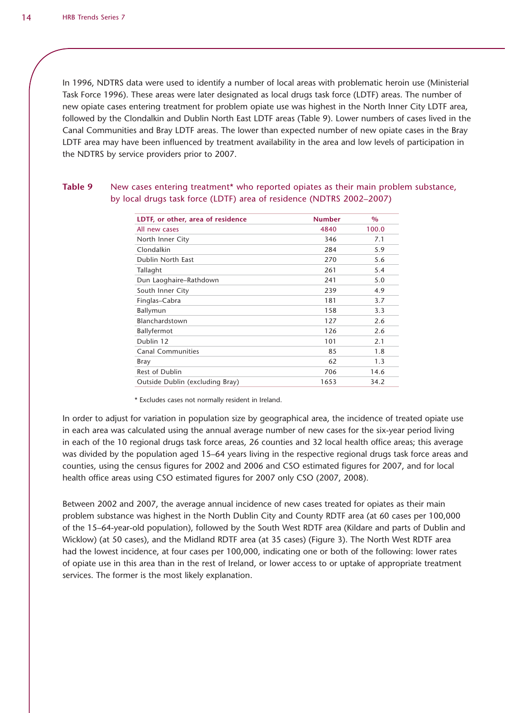In 1996, NDTRS data were used to identify a number of local areas with problematic heroin use (Ministerial Task Force 1996). These areas were later designated as local drugs task force (LDTF) areas. The number of new opiate cases entering treatment for problem opiate use was highest in the North Inner City LDTF area, followed by the Clondalkin and Dublin North East LDTF areas (Table 9). Lower numbers of cases lived in the Canal Communities and Bray LDTF areas. The lower than expected number of new opiate cases in the Bray LDTF area may have been influenced by treatment availability in the area and low levels of participation in the NDTRS by service providers prior to 2007.

### **Table 9** New cases entering treatment\* who reported opiates as their main problem substance, by local drugs task force (LDTF) area of residence (NDTRS 2002–2007)

| LDTF, or other, area of residence | <b>Number</b> | $\%$  |
|-----------------------------------|---------------|-------|
| All new cases                     | 4840          | 100.0 |
| North Inner City                  | 346           | 7.1   |
| Clondalkin                        | 284           | 5.9   |
| Dublin North East                 | 270           | 5.6   |
| Tallaght                          | 261           | 5.4   |
| Dun Laoghaire-Rathdown            | 241           | 5.0   |
| South Inner City                  | 239           | 4.9   |
| Finglas-Cabra                     | 181           | 3.7   |
| Ballymun                          | 158           | 3.3   |
| Blanchardstown                    | 127           | 2.6   |
| Ballyfermot                       | 126           | 2.6   |
| Dublin 12                         | 101           | 2.1   |
| <b>Canal Communities</b>          | 85            | 1.8   |
| Bray                              | 62            | 1.3   |
| Rest of Dublin                    | 706           | 14.6  |
| Outside Dublin (excluding Bray)   | 1653          | 34.2  |

\* Excludes cases not normally resident in Ireland.

In order to adjust for variation in population size by geographical area, the incidence of treated opiate use in each area was calculated using the annual average number of new cases for the six-year period living in each of the 10 regional drugs task force areas, 26 counties and 32 local health office areas; this average was divided by the population aged 15–64 years living in the respective regional drugs task force areas and counties, using the census figures for 2002 and 2006 and CSO estimated figures for 2007, and for local health office areas using CSO estimated figures for 2007 only CSO (2007, 2008).

Between 2002 and 2007, the average annual incidence of new cases treated for opiates as their main problem substance was highest in the North Dublin City and County RDTF area (at 60 cases per 100,000 of the 15–64-year-old population), followed by the South West RDTF area (Kildare and parts of Dublin and Wicklow) (at 50 cases), and the Midland RDTF area (at 35 cases) (Figure 3). The North West RDTF area had the lowest incidence, at four cases per 100,000, indicating one or both of the following: lower rates of opiate use in this area than in the rest of Ireland, or lower access to or uptake of appropriate treatment services. The former is the most likely explanation.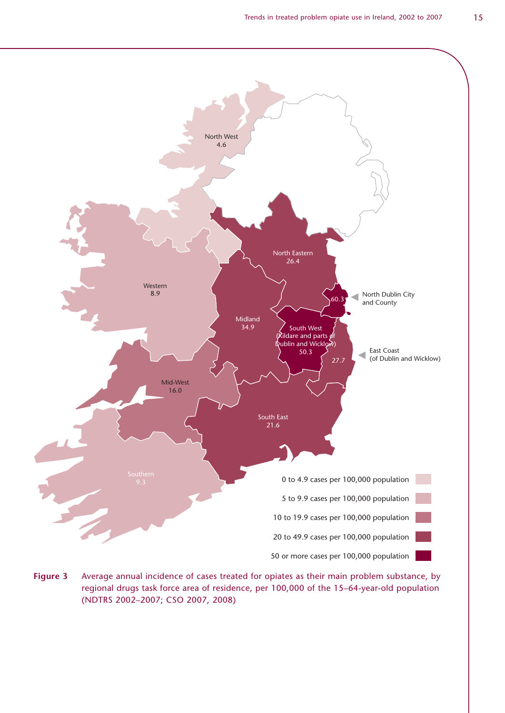

**Figure 3** Average annual incidence of cases treated for opiates as their main problem substance, by regional drugs task force area of residence, per 100,000 of the 15–64-year-old population (NDTRS 2002–2007; CSO 2007, 2008)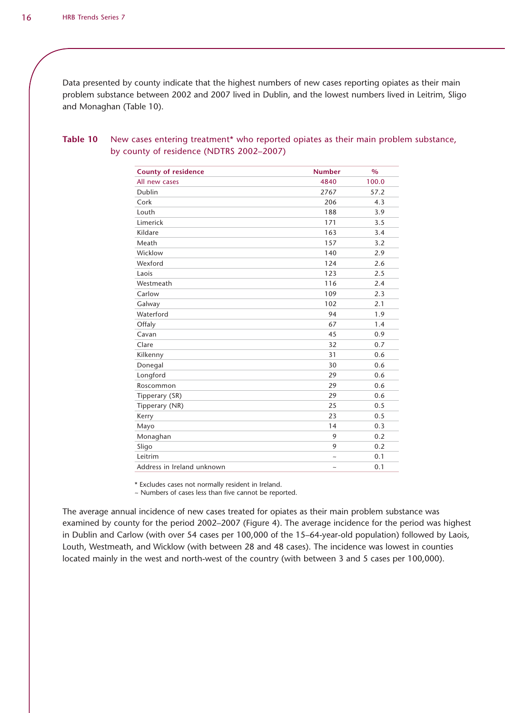Data presented by county indicate that the highest numbers of new cases reporting opiates as their main problem substance between 2002 and 2007 lived in Dublin, and the lowest numbers lived in Leitrim, Sligo and Monaghan (Table 10).

| <b>County of residence</b> | <b>Number</b> | $\frac{0}{0}$ |
|----------------------------|---------------|---------------|
| All new cases              | 4840          | 100.0         |
| Dublin                     | 2767          | 57.2          |
| Cork                       | 206           | 4.3           |
| Louth                      | 188           | 3.9           |
| Limerick                   | 171           | 3.5           |
| Kildare                    | 163           | 3.4           |
| Meath                      | 157           | 3.2           |
| Wicklow                    | 140           | 2.9           |
| Wexford                    | 124           | 2.6           |
| Laois                      | 123           | 2.5           |
| Westmeath                  | 116           | 2.4           |
| Carlow                     | 109           | 2.3           |
| Galway                     | 102           | 2.1           |
| Waterford                  | 94            | 1.9           |
| Offaly                     | 67            | 1.4           |
| Cavan                      | 45            | 0.9           |
| Clare                      | 32            | 0.7           |
| Kilkenny                   | 31            | 0.6           |
| Donegal                    | 30            | 0.6           |
| Longford                   | 29            | 0.6           |
| Roscommon                  | 29            | 0.6           |
| Tipperary (SR)             | 29            | 0.6           |
| Tipperary (NR)             | 25            | 0.5           |
| Kerry                      | 23            | 0.5           |
| Mayo                       | 14            | 0.3           |
| Monaghan                   | 9             | 0.2           |
| Sligo                      | 9             | 0.2           |
| Leitrim                    | $\tilde{}$    | 0.1           |
| Address in Ireland unknown | $\tilde{}$    | 0.1           |

### **Table 10** New cases entering treatment\* who reported opiates as their main problem substance, by county of residence (NDTRS 2002–2007)

\* Excludes cases not normally resident in Ireland.

~ Numbers of cases less than five cannot be reported.

The average annual incidence of new cases treated for opiates as their main problem substance was examined by county for the period 2002–2007 (Figure 4). The average incidence for the period was highest in Dublin and Carlow (with over 54 cases per 100,000 of the 15–64-year-old population) followed by Laois, Louth, Westmeath, and Wicklow (with between 28 and 48 cases). The incidence was lowest in counties located mainly in the west and north-west of the country (with between 3 and 5 cases per 100,000).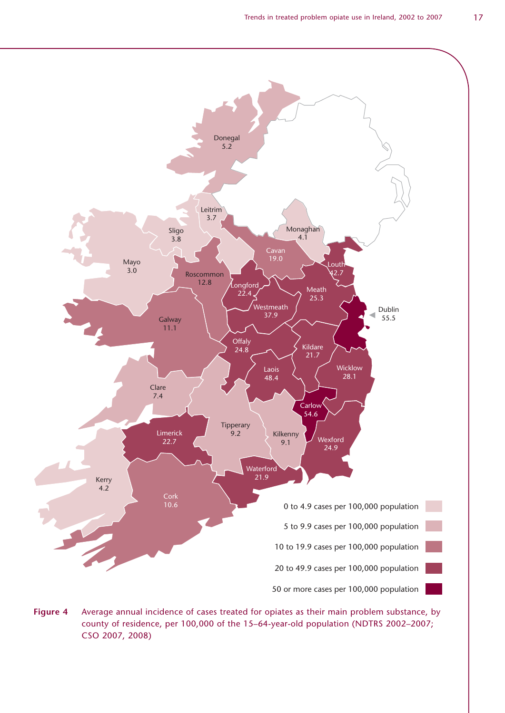

**Figure 4** Average annual incidence of cases treated for opiates as their main problem substance, by county of residence, per 100,000 of the 15–64-year-old population (NDTRS 2002–2007; CSO 2007, 2008)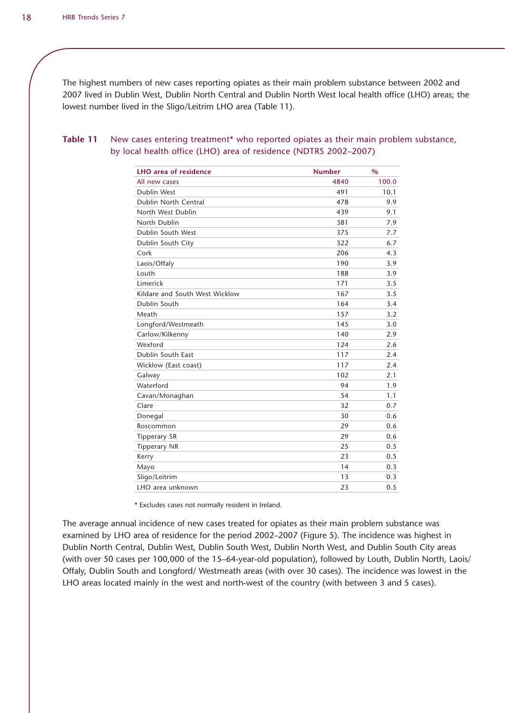The highest numbers of new cases reporting opiates as their main problem substance between 2002 and 2007 lived in Dublin West, Dublin North Central and Dublin North West local health office (LHO) areas; the lowest number lived in the Sligo/Leitrim LHO area (Table 11).

| LHO area of residence          | <b>Number</b> | $\frac{0}{0}$ |
|--------------------------------|---------------|---------------|
| All new cases                  | 4840          | 100.0         |
| Dublin West                    | 491           | 10.1          |
| Dublin North Central           | 478           | 9.9           |
| North West Dublin              | 439           | 9.1           |
| North Dublin                   | 381           | 7.9           |
| Dublin South West              | 375           | 7.7           |
| Dublin South City              | 322           | 6.7           |
| Cork                           | 206           | 4.3           |
| Laois/Offaly                   | 190           | 3.9           |
| Louth                          | 188           | 3.9           |
| Limerick                       | 171           | 3.5           |
| Kildare and South West Wicklow | 167           | 3.5           |
| Dublin South                   | 164           | 3.4           |
| Meath                          | 157           | 3.2           |
| Longford/Westmeath             | 145           | 3.0           |
| Carlow/Kilkenny                | 140           | 2.9           |
| Wexford                        | 124           | 2.6           |
| Dublin South East              | 117           | 2.4           |
| Wicklow (East coast)           | 117           | 2.4           |
| Galway                         | 102           | 2.1           |
| Waterford                      | 94            | 1.9           |
| Cavan/Monaghan                 | 54            | 1.1           |
| Clare                          | 32            | 0.7           |
| Donegal                        | 30            | 0.6           |
| Roscommon                      | 29            | 0.6           |
| <b>Tipperary SR</b>            | 29            | 0.6           |
| <b>Tipperary NR</b>            | 25            | 0.5           |
| Kerry                          | 23            | 0.5           |
| Mayo                           | 14            | 0.3           |
| Sligo/Leitrim                  | 13            | 0.3           |
| LHO area unknown               | 23            | 0.5           |

#### **Table 11** New cases entering treatment\* who reported opiates as their main problem substance, by local health office (LHO) area of residence (NDTRS 2002–2007)

\* Excludes cases not normally resident in Ireland.

The average annual incidence of new cases treated for opiates as their main problem substance was examined by LHO area of residence for the period 2002–2007 (Figure 5). The incidence was highest in Dublin North Central, Dublin West, Dublin South West, Dublin North West, and Dublin South City areas (with over 50 cases per 100,000 of the 15–64-year-old population), followed by Louth, Dublin North, Laois/ Offaly, Dublin South and Longford/ Westmeath areas (with over 30 cases). The incidence was lowest in the LHO areas located mainly in the west and north-west of the country (with between 3 and 5 cases).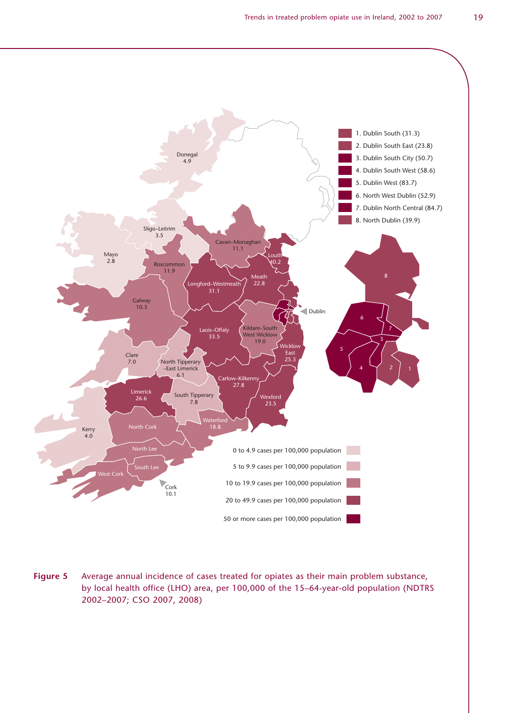

**Figure 5** Average annual incidence of cases treated for opiates as their main problem substance, by local health office (LHO) area, per 100,000 of the 15–64-year-old population (NDTRS 2002–2007; CSO 2007, 2008)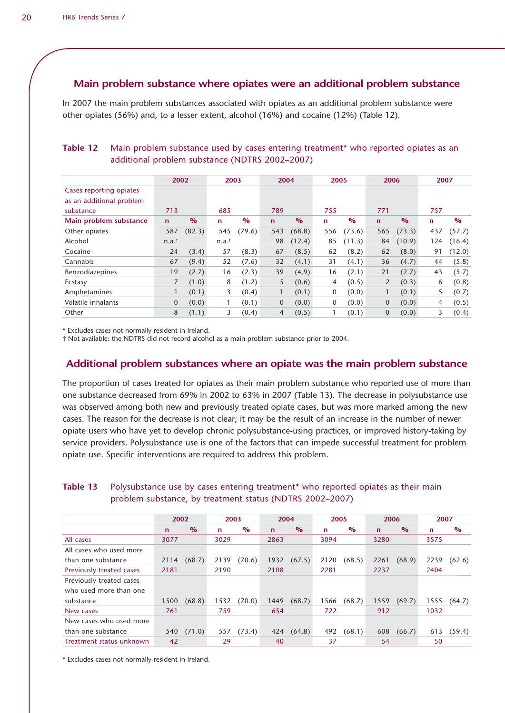# **Main problem substance where opiates were an additional problem substance**

In 2007 the main problem substances associated with opiates as an additional problem substance were other opiates (56%) and, to a lesser extent, alcohol (16%) and cocaine (12%) (Table 12).

#### **Table 12** Main problem substance used by cases entering treatment\* who reported opiates as an additional problem substance (NDTRS 2002–2007)

|                                                                  | 2002<br>2003     |        |                  | 2004           |                | 2005                    |             | 2006                    |                | 2007          |             |        |
|------------------------------------------------------------------|------------------|--------|------------------|----------------|----------------|-------------------------|-------------|-------------------------|----------------|---------------|-------------|--------|
| Cases reporting opiates<br>as an additional problem<br>substance | 713              |        | 685              |                | 789            |                         | 755         |                         | 771            |               | 757         |        |
| Main problem substance                                           | $\mathsf{n}$     | $\%$   | $\mathbf n$      | $\frac{6}{10}$ | $\mathsf{n}$   | $\mathbf{O}/\mathbf{O}$ | $\mathbf n$ | $\mathbf{O}/\mathbf{O}$ | $\mathbf n$    | $\frac{1}{2}$ | $\mathbf n$ | $\%$   |
| Other opiates                                                    | 587              | (82.3) | 545              | (79.6)         | 543            | (68.8)                  | 556         | (73.6)                  | 565            | (73.3)        | 437         | (57.7) |
| Alcohol                                                          | $n.a.^{\dagger}$ |        | $n.a.^{\dagger}$ |                | 98             | (12.4)                  | 85          | (11.3)                  | 84             | (10.9)        | 124         | (16.4) |
| Cocaine                                                          | 24               | (3.4)  | 57               | (8.3)          | 67             | (8.5)                   | 62          | (8.2)                   | 62             | (8.0)         | 91          | (12.0) |
| Cannabis                                                         | 67               | (9.4)  | 52               | (7.6)          | 32             | (4.1)                   | 31          | (4.1)                   | 36             | (4.7)         | 44          | (5.8)  |
| Benzodiazepines                                                  | 19               | (2.7)  | 16               | (2.3)          | 39             | (4.9)                   | 16          | (2.1)                   | 21             | (2.7)         | 43          | (5.7)  |
| Ecstasy                                                          | $\overline{7}$   | (1.0)  | 8                | (1.2)          | 5              | (0.6)                   | 4           | (0.5)                   | $\overline{2}$ | (0.3)         | 6           | (0.8)  |
| Amphetamines                                                     |                  | (0.1)  | 3                | (0.4)          |                | (0.1)                   | 0           | (0.0)                   |                | (0.1)         | 5           | (0.7)  |
| Volatile inhalants                                               | $\overline{0}$   | (0.0)  |                  | (0.1)          | $\mathbf{0}$   | (0.0)                   | $\mathbf 0$ | (0.0)                   | $\mathbf{0}$   | (0.0)         | 4           | (0.5)  |
| Other                                                            | 8                | (1.1)  | 3                | (0.4)          | $\overline{4}$ | (0.5)                   |             | (0.1)                   | $\mathbf{0}$   | (0.0)         | 3           | (0.4)  |

\* Excludes cases not normally resident in Ireland.

† Not available: the NDTRS did not record alcohol as a main problem substance prior to 2004.

## **Additional problem substances where an opiate was the main problem substance**

The proportion of cases treated for opiates as their main problem substance who reported use of more than one substance decreased from 69% in 2002 to 63% in 2007 (Table 13). The decrease in polysubstance use was observed among both new and previously treated opiate cases, but was more marked among the new cases. The reason for the decrease is not clear; it may be the result of an increase in the number of newer opiate users who have yet to develop chronic polysubstance-using practices, or improved history-taking by service providers. Polysubstance use is one of the factors that can impede successful treatment for problem opiate use. Specific interventions are required to address this problem.

#### **Table 13** Polysubstance use by cases entering treatment<sup>\*</sup> who reported opiates as their main problem substance, by treatment status (NDTRS 2002–2007)

|                          | 2002         |               | 2003         |                         | 2004        |               | 2005 |               | 2006        |               | 2007        |               |
|--------------------------|--------------|---------------|--------------|-------------------------|-------------|---------------|------|---------------|-------------|---------------|-------------|---------------|
|                          | $\mathsf{n}$ | $\frac{6}{2}$ | $\mathsf{n}$ | $\mathbf{O}/\mathbf{O}$ | $\mathbf n$ | $\frac{6}{2}$ | n    | $\frac{6}{2}$ | $\mathbf n$ | $\frac{1}{2}$ | $\mathbf n$ | $\frac{6}{2}$ |
| All cases                | 3077         |               | 3029         |                         | 2863        |               | 3094 |               | 3280        |               | 3575        |               |
| All cases who used more  |              |               |              |                         |             |               |      |               |             |               |             |               |
| than one substance       | 2114         | (68.7)        | 2139         | (70.6)                  | 1932        | (67.5)        | 2120 | (68.5)        | 2261        | (68.9)        | 2239        | (62.6)        |
| Previously treated cases | 2181         |               | 2190         |                         | 2108        |               | 2281 |               | 2237        |               | 2404        |               |
| Previously treated cases |              |               |              |                         |             |               |      |               |             |               |             |               |
| who used more than one   |              |               |              |                         |             |               |      |               |             |               |             |               |
| substance                | 1500         | (68.8)        | 1532         | (70.0)                  | 1449        | (68.7)        | 1566 | (68.7)        | 1559        | (69.7)        | 1555        | (64.7)        |
| New cases                | 761          |               | 759          |                         | 654         |               | 722  |               | 912         |               | 1032        |               |
| New cases who used more  |              |               |              |                         |             |               |      |               |             |               |             |               |
| than one substance       | 540          | (71.0)        | 557          | (73.4)                  | 424         | (64.8)        | 492  | (68.1)        | 608         | (66.7)        | 613         | (59.4)        |
| Treatment status unknown | 42           |               | 29           |                         | 40          |               | 37   |               | 54          |               | 50          |               |

\* Excludes cases not normally resident in Ireland.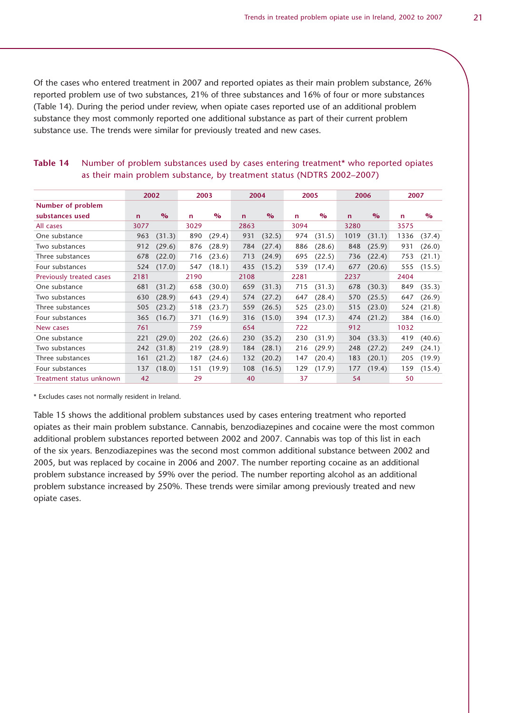Of the cases who entered treatment in 2007 and reported opiates as their main problem substance, 26% reported problem use of two substances, 21% of three substances and 16% of four or more substances (Table 14). During the period under review, when opiate cases reported use of an additional problem substance they most commonly reported one additional substance as part of their current problem substance use. The trends were similar for previously treated and new cases.

|                          | 2002         |               | 2003        |               | 2004 |               | 2005 |                         | 2006        |               | 2007        |               |
|--------------------------|--------------|---------------|-------------|---------------|------|---------------|------|-------------------------|-------------|---------------|-------------|---------------|
| Number of problem        |              |               |             |               |      |               |      |                         |             |               |             |               |
| substances used          | $\mathsf{n}$ | $\frac{6}{2}$ | $\mathbf n$ | $\frac{1}{2}$ | n    | $\frac{O}{O}$ | n    | $\mathbf{O}/\mathbf{O}$ | $\mathbf n$ | $\frac{6}{2}$ | $\mathbf n$ | $\frac{6}{2}$ |
| All cases                | 3077         |               | 3029        |               | 2863 |               | 3094 |                         | 3280        |               | 3575        |               |
| One substance            | 963          | (31.3)        | 890         | (29.4)        | 931  | (32.5)        | 974  | (31.5)                  | 1019        | (31.1)        | 1336        | (37.4)        |
| Two substances           | 912          | (29.6)        | 876         | (28.9)        | 784  | (27.4)        | 886  | (28.6)                  | 848         | (25.9)        | 931         | (26.0)        |
| Three substances         | 678          | (22.0)        | 716         | (23.6)        | 713  | (24.9)        | 695  | (22.5)                  | 736         | (22.4)        | 753         | (21.1)        |
| Four substances          | 524          | (17.0)        | 547         | (18.1)        | 435  | (15.2)        | 539  | (17.4)                  | 677         | (20.6)        | 555         | (15.5)        |
| Previously treated cases | 2181         |               | 2190        |               | 2108 |               | 2281 |                         | 2237        |               | 2404        |               |
| One substance            | 681          | (31.2)        | 658         | (30.0)        | 659  | (31.3)        | 715  | (31.3)                  | 678         | (30.3)        | 849         | (35.3)        |
| Two substances           | 630          | (28.9)        | 643         | (29.4)        | 574  | (27.2)        | 647  | (28.4)                  | 570         | (25.5)        | 647         | (26.9)        |
| Three substances         | 505          | (23.2)        | 518         | (23.7)        | 559  | (26.5)        | 525  | (23.0)                  | 515         | (23.0)        | 524         | (21.8)        |
| Four substances          | 365          | (16.7)        | 371         | (16.9)        | 316  | (15.0)        | 394  | (17.3)                  | 474         | (21.2)        | 384         | (16.0)        |
| New cases                | 761          |               | 759         |               | 654  |               | 722  |                         | 912         |               | 1032        |               |
| One substance            | 221          | (29.0)        | 202         | (26.6)        | 230  | (35.2)        | 230  | (31.9)                  | 304         | (33.3)        | 419         | (40.6)        |
| Two substances           | 242          | (31.8)        | 219         | (28.9)        | 184  | (28.1)        | 216  | (29.9)                  | 248         | (27.2)        | 249         | (24.1)        |
| Three substances         | 161          | (21.2)        | 187         | (24.6)        | 132  | (20.2)        | 147  | (20.4)                  | 183         | (20.1)        | 205         | (19.9)        |
| Four substances          | 137          | (18.0)        | 151         | (19.9)        | 108  | (16.5)        | 129  | (17.9)                  | 177         | (19.4)        | 159         | (15.4)        |
| Treatment status unknown | 42           |               | 29          |               | 40   |               | 37   |                         | 54          |               | 50          |               |

#### Table 14 • Number of problem substances used by cases entering treatment\* who reported opiates as their main problem substance, by treatment status (NDTRS 2002–2007)

\* Excludes cases not normally resident in Ireland.

Table 15 shows the additional problem substances used by cases entering treatment who reported opiates as their main problem substance. Cannabis, benzodiazepines and cocaine were the most common additional problem substances reported between 2002 and 2007. Cannabis was top of this list in each of the six years. Benzodiazepines was the second most common additional substance between 2002 and 2005, but was replaced by cocaine in 2006 and 2007. The number reporting cocaine as an additional problem substance increased by 59% over the period. The number reporting alcohol as an additional problem substance increased by 250%. These trends were similar among previously treated and new opiate cases.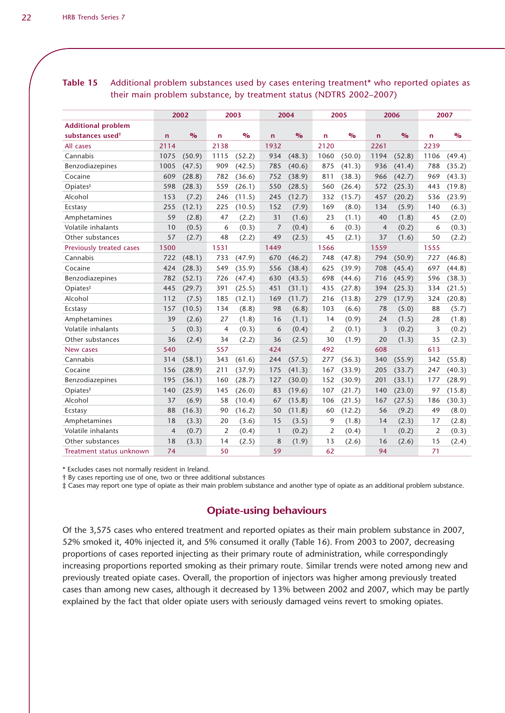|                              | 2002<br>2003   |               |                |                         | 2004         | 2005          |                | 2006          |                | 2007          |              |               |
|------------------------------|----------------|---------------|----------------|-------------------------|--------------|---------------|----------------|---------------|----------------|---------------|--------------|---------------|
| <b>Additional problem</b>    |                |               |                |                         |              |               |                |               |                |               |              |               |
| substances used <sup>†</sup> | $\mathbf n$    | $\frac{6}{6}$ | $\mathsf{n}$   | $\mathbf{O}/\mathbf{O}$ | $\mathsf{n}$ | $\frac{1}{2}$ | n              | $\frac{O}{O}$ | $\mathsf{n}$   | $\frac{6}{6}$ | $\mathsf{n}$ | $\frac{6}{2}$ |
| All cases                    | 2114           |               | 2138           |                         | 1932         |               | 2120           |               | 2261           |               | 2239         |               |
| Cannabis                     | 1075           | (50.9)        | 1115           | (52.2)                  | 934          | (48.3)        | 1060           | (50.0)        | 1194           | (52.8)        | 1106         | (49.4)        |
| Benzodiazepines              | 1005           | (47.5)        | 909            | (42.5)                  | 785          | (40.6)        | 875            | (41.3)        | 936            | (41.4)        | 788          | (35.2)        |
| Cocaine                      | 609            | (28.8)        | 782            | (36.6)                  | 752          | (38.9)        | 811            | (38.3)        | 966            | (42.7)        | 969          | (43.3)        |
| Opiates <sup>#</sup>         | 598            | (28.3)        | 559            | (26.1)                  | 550          | (28.5)        | 560            | (26.4)        | 572            | (25.3)        | 443          | (19.8)        |
| Alcohol                      | 153            | (7.2)         | 246            | (11.5)                  | 245          | (12.7)        | 332            | (15.7)        | 457            | (20.2)        | 536          | (23.9)        |
| Ecstasy                      | 255            | (12.1)        | 225            | (10.5)                  | 152          | (7.9)         | 169            | (8.0)         | 134            | (5.9)         | 140          | (6.3)         |
| Amphetamines                 | 59             | (2.8)         | 47             | (2.2)                   | 31           | (1.6)         | 23             | (1.1)         | 40             | (1.8)         | 45           | (2.0)         |
| Volatile inhalants           | 10             | (0.5)         | 6              | (0.3)                   | 7            | (0.4)         | 6              | (0.3)         | $\overline{4}$ | (0.2)         | 6            | (0.3)         |
| Other substances             | 57             | (2.7)         | 48             | (2.2)                   | 49           | (2.5)         | 45             | (2.1)         | 37             | (1.6)         | 50           | (2.2)         |
| Previously treated cases     | 1500           |               | 1531           |                         | 1449         |               | 1566           |               | 1559           |               | 1555         |               |
| Cannabis                     | 722            | (48.1)        | 733            | (47.9)                  | 670          | (46.2)        | 748            | (47.8)        | 794            | (50.9)        | 727          | (46.8)        |
| Cocaine                      | 424            | (28.3)        | 549            | (35.9)                  | 556          | (38.4)        | 625            | (39.9)        | 708            | (45.4)        | 697          | (44.8)        |
| Benzodiazepines              | 782            | (52.1)        | 726            | (47.4)                  | 630          | (43.5)        | 698            | (44.6)        | 716            | (45.9)        | 596          | (38.3)        |
| Opiates <sup>#</sup>         | 445            | (29.7)        | 391            | (25.5)                  | 451          | (31.1)        | 435            | (27.8)        | 394            | (25.3)        | 334          | (21.5)        |
| Alcohol                      | 112            | (7.5)         | 185            | (12.1)                  | 169          | (11.7)        | 216            | (13.8)        | 279            | (17.9)        | 324          | (20.8)        |
| Ecstasy                      | 157            | (10.5)        | 134            | (8.8)                   | 98           | (6.8)         | 103            | (6.6)         | 78             | (5.0)         | 88           | (5.7)         |
| Amphetamines                 | 39             | (2.6)         | 27             | (1.8)                   | 16           | (1.1)         | 14             | (0.9)         | 24             | (1.5)         | 28           | (1.8)         |
| Volatile inhalants           | 5              | (0.3)         | 4              | (0.3)                   | 6            | (0.4)         | 2              | (0.1)         | 3              | (0.2)         | 3            | (0.2)         |
| Other substances             | 36             | (2.4)         | 34             | (2.2)                   | 36           | (2.5)         | 30             | (1.9)         | 20             | (1.3)         | 35           | (2.3)         |
| New cases                    | 540            |               | 557            |                         | 424          |               | 492            |               | 608            |               | 613          |               |
| Cannabis                     | 314            | (58.1)        | 343            | (61.6)                  | 244          | (57.5)        | 277            | (56.3)        | 340            | (55.9)        | 342          | (55.8)        |
| Cocaine                      | 156            | (28.9)        | 211            | (37.9)                  | 175          | (41.3)        | 167            | (33.9)        | 205            | (33.7)        | 247          | (40.3)        |
| Benzodiazepines              | 195            | (36.1)        | 160            | (28.7)                  | 127          | (30.0)        | 152            | (30.9)        | 201            | (33.1)        | 177          | (28.9)        |
| Opiates <sup>#</sup>         | 140            | (25.9)        | 145            | (26.0)                  | 83           | (19.6)        | 107            | (21.7)        | 140            | (23.0)        | 97           | (15.8)        |
| Alcohol                      | 37             | (6.9)         | 58             | (10.4)                  | 67           | (15.8)        | 106            | (21.5)        | 167            | (27.5)        | 186          | (30.3)        |
| Ecstasy                      | 88             | (16.3)        | 90             | (16.2)                  | 50           | (11.8)        | 60             | (12.2)        | 56             | (9.2)         | 49           | (8.0)         |
| Amphetamines                 | 18             | (3.3)         | 20             | (3.6)                   | 15           | (3.5)         | 9              | (1.8)         | 14             | (2.3)         | 17           | (2.8)         |
| Volatile inhalants           | $\overline{4}$ | (0.7)         | $\overline{2}$ | (0.4)                   | $\mathbf{1}$ | (0.2)         | $\overline{2}$ | (0.4)         | $\mathbf{1}$   | (0.2)         | 2            | (0.3)         |
| Other substances             | 18             | (3.3)         | 14             | (2.5)                   | 8            | (1.9)         | 13             | (2.6)         | 16             | (2.6)         | 15           | (2.4)         |
| Treatment status unknown     | 74             |               | 50             |                         | 59           |               | 62             |               | 94             |               | 71           |               |

# **Table 15** Additional problem substances used by cases entering treatment\* who reported opiates as their main problem substance, by treatment status (NDTRS 2002–2007)

\* Excludes cases not normally resident in Ireland.

† By cases reporting use of one, two or three additional substances

‡ Cases may report one type of opiate as their main problem substance and another type of opiate as an additional problem substance.

## **Opiate-using behaviours**

Of the 3,575 cases who entered treatment and reported opiates as their main problem substance in 2007, 52% smoked it, 40% injected it, and 5% consumed it orally (Table 16). From 2003 to 2007, decreasing proportions of cases reported injecting as their primary route of administration, while correspondingly increasing proportions reported smoking as their primary route. Similar trends were noted among new and previously treated opiate cases. Overall, the proportion of injectors was higher among previously treated cases than among new cases, although it decreased by 13% between 2002 and 2007, which may be partly explained by the fact that older opiate users with seriously damaged veins revert to smoking opiates.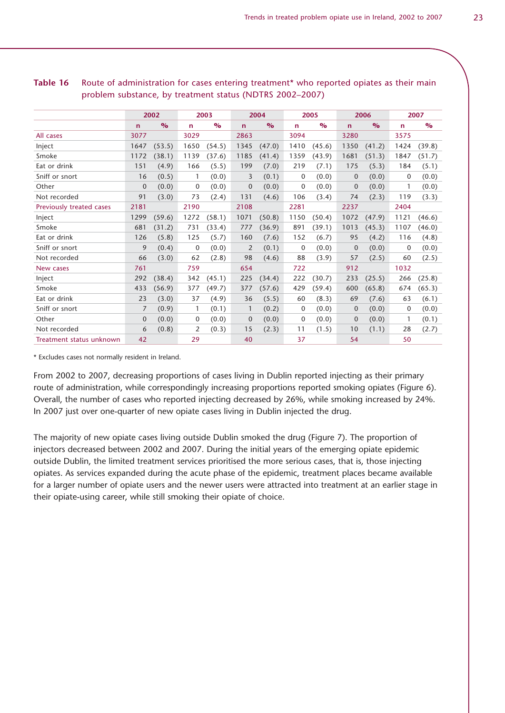|                          |                | 2002          |              | 2003                    |                | 2004          |              | 2005                    |                | 2006          | 2007         |               |
|--------------------------|----------------|---------------|--------------|-------------------------|----------------|---------------|--------------|-------------------------|----------------|---------------|--------------|---------------|
|                          | $\mathbf n$    | $\frac{O}{O}$ | $\mathbf n$  | $\mathbf{O}/\mathbf{O}$ | $\mathbf n$    | $\frac{O}{O}$ | $\mathbf{r}$ | $\mathbf{O}/\mathbf{O}$ | $\mathbf n$    | $\frac{O}{O}$ | $\mathsf{n}$ | $\frac{O}{O}$ |
| All cases                | 3077           |               | 3029         |                         | 2863           |               | 3094         |                         | 3280           |               | 3575         |               |
| Inject                   | 1647           | (53.5)        | 1650         | (54.5)                  | 1345           | (47.0)        | 1410         | (45.6)                  | 1350           | (41.2)        | 1424         | (39.8)        |
| Smoke                    | 1172           | (38.1)        | 1139         | (37.6)                  | 1185           | (41.4)        | 1359         | (43.9)                  | 1681           | (51.3)        | 1847         | (51.7)        |
| Eat or drink             | 151            | (4.9)         | 166          | (5.5)                   | 199            | (7.0)         | 219          | (7.1)                   | 175            | (5.3)         | 184          | (5.1)         |
| Sniff or snort           | 16             | (0.5)         | $\mathbf{1}$ | (0.0)                   | 3              | (0.1)         | 0            | (0.0)                   | $\overline{0}$ | (0.0)         | 0            | (0.0)         |
| Other                    | $\overline{0}$ | (0.0)         | $\mathbf{0}$ | (0.0)                   | $\mathbf{0}$   | (0.0)         | 0            | (0.0)                   | $\mathbf{0}$   | (0.0)         | $\mathbf{1}$ | (0.0)         |
| Not recorded             | 91             | (3.0)         | 73           | (2.4)                   | 131            | (4.6)         | 106          | (3.4)                   | 74             | (2.3)         | 119          | (3.3)         |
| Previously treated cases | 2181           |               | 2190         |                         | 2108           |               | 2281         |                         | 2237           |               | 2404         |               |
| Inject                   | 1299           | (59.6)        | 1272         | (58.1)                  | 1071           | (50.8)        | 1150         | (50.4)                  | 1072           | (47.9)        | 1121         | (46.6)        |
| Smoke                    | 681            | (31.2)        | 731          | (33.4)                  | 777            | (36.9)        | 891          | (39.1)                  | 1013           | (45.3)        | 1107         | (46.0)        |
| Eat or drink             | 126            | (5.8)         | 125          | (5.7)                   | 160            | (7.6)         | 152          | (6.7)                   | 95             | (4.2)         | 116          | (4.8)         |
| Sniff or snort           | 9              | (0.4)         | $\mathbf 0$  | (0.0)                   | 2              | (0.1)         | 0            | (0.0)                   | $\overline{0}$ | (0.0)         | 0            | (0.0)         |
| Not recorded             | 66             | (3.0)         | 62           | (2.8)                   | 98             | (4.6)         | 88           | (3.9)                   | 57             | (2.5)         | 60           | (2.5)         |
| New cases                | 761            |               | 759          |                         | 654            |               | 722          |                         | 912            |               | 1032         |               |
| Inject                   | 292            | (38.4)        | 342          | (45.1)                  | 225            | (34.4)        | 222          | (30.7)                  | 233            | (25.5)        | 266          | (25.8)        |
| Smoke                    | 433            | (56.9)        | 377          | (49.7)                  | 377            | (57.6)        | 429          | (59.4)                  | 600            | (65.8)        | 674          | (65.3)        |
| Eat or drink             | 23             | (3.0)         | 37           | (4.9)                   | 36             | (5.5)         | 60           | (8.3)                   | 69             | (7.6)         | 63           | (6.1)         |
| Sniff or snort           | 7              | (0.9)         | $\mathbf{1}$ | (0.1)                   | $\mathbf{1}$   | (0.2)         | 0            | (0.0)                   | $\mathbf{0}$   | (0.0)         | 0            | (0.0)         |
| Other                    | 0              | (0.0)         | $\mathbf 0$  | (0.0)                   | $\overline{0}$ | (0.0)         | 0            | (0.0)                   | $\mathbf{0}$   | (0.0)         | $\mathbf{1}$ | (0.1)         |
| Not recorded             | 6              | (0.8)         | 2            | (0.3)                   | 15             | (2.3)         | 11           | (1.5)                   | 10             | (1.1)         | 28           | (2.7)         |
| Treatment status unknown | 42             |               | 29           |                         | 40             |               | 37           |                         | 54             |               | 50           |               |

#### Table 16 Route of administration for cases entering treatment<sup>\*</sup> who reported opiates as their main problem substance, by treatment status (NDTRS 2002–2007)

\* Excludes cases not normally resident in Ireland.

From 2002 to 2007, decreasing proportions of cases living in Dublin reported injecting as their primary route of administration, while correspondingly increasing proportions reported smoking opiates (Figure 6). Overall, the number of cases who reported injecting decreased by 26%, while smoking increased by 24%. In 2007 just over one-quarter of new opiate cases living in Dublin injected the drug.

The majority of new opiate cases living outside Dublin smoked the drug (Figure 7). The proportion of injectors decreased between 2002 and 2007. During the initial years of the emerging opiate epidemic outside Dublin, the limited treatment services prioritised the more serious cases, that is, those injecting opiates. As services expanded during the acute phase of the epidemic, treatment places became available for a larger number of opiate users and the newer users were attracted into treatment at an earlier stage in their opiate-using career, while still smoking their opiate of choice.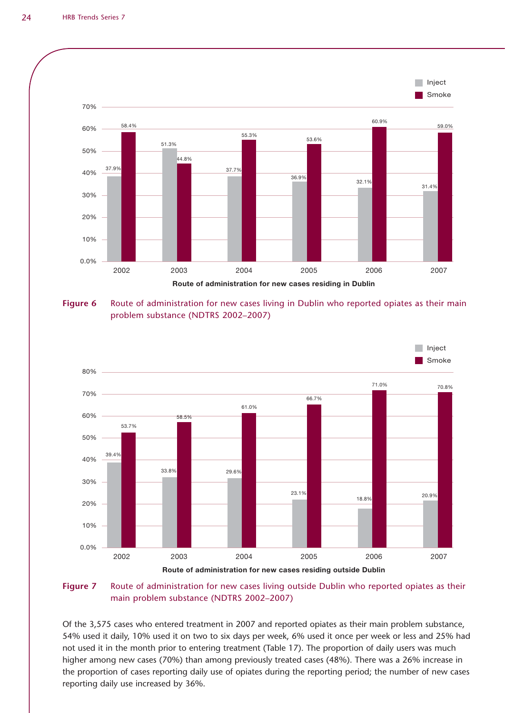

**Figure 6** Route of administration for new cases living in Dublin who reported opiates as their main problem substance (NDTRS 2002–2007)



#### **Figure 7** Route of administration for new cases living outside Dublin who reported opiates as their main problem substance (NDTRS 2002–2007)

Of the 3,575 cases who entered treatment in 2007 and reported opiates as their main problem substance, 54% used it daily, 10% used it on two to six days per week, 6% used it once per week or less and 25% had not used it in the month prior to entering treatment (Table 17). The proportion of daily users was much higher among new cases (70%) than among previously treated cases (48%). There was a 26% increase in the proportion of cases reporting daily use of opiates during the reporting period; the number of new cases reporting daily use increased by 36%.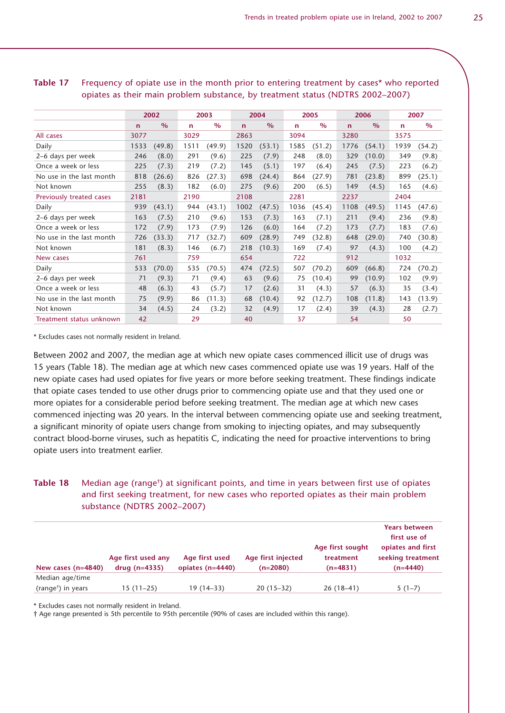|                          |      |               |             |               | 2004         |               |             |               |             |               |      |               |
|--------------------------|------|---------------|-------------|---------------|--------------|---------------|-------------|---------------|-------------|---------------|------|---------------|
|                          |      | 2002          |             | 2003          |              |               |             | 2005          |             | 2006          |      | 2007          |
|                          | n    | $\frac{0}{0}$ | $\mathbf n$ | $\frac{0}{0}$ | $\mathsf{n}$ | $\frac{0}{0}$ | $\mathbf n$ | $\frac{0}{0}$ | $\mathbf n$ | $\frac{0}{0}$ | n    | $\frac{0}{0}$ |
| All cases                | 3077 |               | 3029        |               | 2863         |               | 3094        |               | 3280        |               | 3575 |               |
| Daily                    | 1533 | (49.8)        | 1511        | (49.9)        | 1520         | (53.1)        | 1585        | (51.2)        | 1776        | (54.1)        | 1939 | (54.2)        |
| 2–6 days per week        | 246  | (8.0)         | 291         | (9.6)         | 225          | (7.9)         | 248         | (8.0)         | 329         | (10.0)        | 349  | (9.8)         |
| Once a week or less      | 225  | (7.3)         | 219         | (7.2)         | 145          | (5.1)         | 197         | (6.4)         | 245         | (7.5)         | 223  | (6.2)         |
| No use in the last month | 818  | (26.6)        | 826         | (27.3)        | 698          | (24.4)        | 864         | (27.9)        | 781         | (23.8)        | 899  | (25.1)        |
| Not known                | 255  | (8.3)         | 182         | (6.0)         | 275          | (9.6)         | 200         | (6.5)         | 149         | (4.5)         | 165  | (4.6)         |
| Previously treated cases | 2181 |               | 2190        |               | 2108         |               | 2281        |               | 2237        |               | 2404 |               |
| Daily                    | 939  | (43.1)        | 944         | (43.1)        | 1002         | (47.5)        | 1036        | (45.4)        | 1108        | (49.5)        | 1145 | (47.6)        |
| 2-6 days per week        | 163  | (7.5)         | 210         | (9.6)         | 153          | (7.3)         | 163         | (7.1)         | 211         | (9.4)         | 236  | (9.8)         |
| Once a week or less      | 172  | (7.9)         | 173         | (7.9)         | 126          | (6.0)         | 164         | (7.2)         | 173         | (7.7)         | 183  | (7.6)         |
| No use in the last month | 726  | (33.3)        | 717         | (32.7)        | 609          | (28.9)        | 749         | (32.8)        | 648         | (29.0)        | 740  | (30.8)        |
| Not known                | 181  | (8.3)         | 146         | (6.7)         | 218          | (10.3)        | 169         | (7.4)         | 97          | (4.3)         | 100  | (4.2)         |
| New cases                | 761  |               | 759         |               | 654          |               | 722         |               | 912         |               | 1032 |               |
| Daily                    | 533  | (70.0)        | 535         | (70.5)        | 474          | (72.5)        | 507         | (70.2)        | 609         | (66.8)        | 724  | (70.2)        |
| 2-6 days per week        | 71   | (9.3)         | 71          | (9.4)         | 63           | (9.6)         | 75          | (10.4)        | 99          | (10.9)        | 102  | (9.9)         |
| Once a week or less      | 48   | (6.3)         | 43          | (5.7)         | 17           | (2.6)         | 31          | (4.3)         | 57          | (6.3)         | 35   | (3.4)         |
| No use in the last month | 75   | (9.9)         | 86          | (11.3)        | 68           | (10.4)        | 92          | (12.7)        | 108         | (11.8)        | 143  | (13.9)        |
| Not known                | 34   | (4.5)         | 24          | (3.2)         | 32           | (4.9)         | 17          | (2.4)         | 39          | (4.3)         | 28   | (2.7)         |
| Treatment status unknown | 42   |               | 29          |               | 40           |               | 37          |               | 54          |               | 50   |               |

**Table 17** Frequency of opiate use in the month prior to entering treatment by cases\* who reported opiates as their main problem substance, by treatment status (NDTRS 2002–2007)

\* Excludes cases not normally resident in Ireland.

Between 2002 and 2007, the median age at which new opiate cases commenced illicit use of drugs was 15 years (Table 18). The median age at which new cases commenced opiate use was 19 years. Half of the new opiate cases had used opiates for five years or more before seeking treatment. These findings indicate that opiate cases tended to use other drugs prior to commencing opiate use and that they used one or more opiates for a considerable period before seeking treatment. The median age at which new cases commenced injecting was 20 years. In the interval between commencing opiate use and seeking treatment, a significant minority of opiate users change from smoking to injecting opiates, and may subsequently contract blood-borne viruses, such as hepatitis C, indicating the need for proactive interventions to bring opiate users into treatment earlier.

# **Table 18** Median age (range<sup>†</sup>) at significant points, and time in years between first use of opiates and first seeking treatment, for new cases who reported opiates as their main problem substance (NDTRS 2002–2007)

| New cases $(n=4840)$           | Age first used any<br>$drug(n=4335)$ | Age first used<br>opiates $(n=4440)$ | Age first injected<br>$(n=2080)$ | Age first sought<br>treatment<br>$(n=4831)$ | <b>Years between</b><br>first use of<br>opiates and first<br>seeking treatment<br>$(n=4440)$ |
|--------------------------------|--------------------------------------|--------------------------------------|----------------------------------|---------------------------------------------|----------------------------------------------------------------------------------------------|
| Median age/time                |                                      |                                      |                                  |                                             |                                                                                              |
| (range <sup>†</sup> ) in years | 15 (11–25)                           | 19 (14–33)                           | $20(15-32)$                      | $26(18-41)$                                 | $5(1-7)$                                                                                     |

\* Excludes cases not normally resident in Ireland.

† Age range presented is 5th percentile to 95th percentile (90% of cases are included within this range).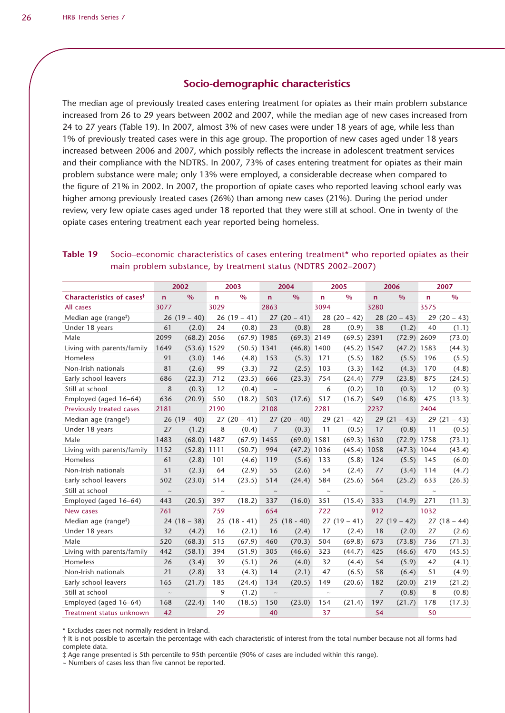#### **Socio-demographic characteristics**

The median age of previously treated cases entering treatment for opiates as their main problem substance increased from 26 to 29 years between 2002 and 2007, while the median age of new cases increased from 24 to 27 years (Table 19). In 2007, almost 3% of new cases were under 18 years of age, while less than 1% of previously treated cases were in this age group. The proportion of new cases aged under 18 years increased between 2006 and 2007, which possibly reflects the increase in adolescent treatment services and their compliance with the NDTRS. In 2007, 73% of cases entering treatment for opiates as their main problem substance were male; only 13% were employed, a considerable decrease when compared to the figure of 21% in 2002. In 2007, the proportion of opiate cases who reported leaving school early was higher among previously treated cases (26%) than among new cases (21%). During the period under review, very few opiate cases aged under 18 reported that they were still at school. One in twenty of the opiate cases entering treatment each year reported being homeless.

### **Table 19** Socio–economic characteristics of cases entering treatment\* who reported opiates as their main problem substance, by treatment status (NDTRS 2002–2007)

|                                       | 2002        |               | 2003   |               |                           | 2004          |                           | 2005          | 2006           |               | 2007                      |             |
|---------------------------------------|-------------|---------------|--------|---------------|---------------------------|---------------|---------------------------|---------------|----------------|---------------|---------------------------|-------------|
| Characteristics of cases <sup>†</sup> | $\mathbf n$ | $\frac{0}{0}$ | n.     | $\%$          | $\mathbf n$               | $\%$          | $\mathsf{n}$              | $\%$          | $\mathsf{n}$   | $\frac{9}{6}$ | $\mathsf{n}$              | $\%$        |
| All cases                             | 3077        |               | 3029   |               | 2863                      |               | 3094                      |               | 3280           |               | 3575                      |             |
| Median age (range <sup>#</sup> )      | 26          | $(19 - 40)$   |        | $26(19-41)$   |                           | $27(20-41)$   |                           | $28(20-42)$   |                | $28(20-43)$   | 29                        | $(20 - 43)$ |
| Under 18 years                        | 61          | (2.0)         | 24     | (0.8)         | 23                        | (0.8)         | 28                        | (0.9)         | 38             | (1.2)         | 40                        | (1.1)       |
| Male                                  | 2099        | (68.2)        | 2056   | (67.9)        | 1985                      | $(69.3)$ 2149 |                           | $(69.5)$ 2391 |                | (72.9)        | 2609                      | (73.0)      |
| Living with parents/family            | 1649        | $(53.6)$ 1529 |        | $(50.5)$ 1341 |                           | (46.8)        | 1400                      | $(45.2)$ 1547 |                | $(47.2)$ 1583 |                           | (44.3)      |
| Homeless                              | 91          | (3.0)         | 146    | (4.8)         | 153                       | (5.3)         | 171                       | (5.5)         | 182            | (5.5)         | 196                       | (5.5)       |
| Non-Irish nationals                   | 81          | (2.6)         | 99     | (3.3)         | 72                        | (2.5)         | 103                       | (3.3)         | 142            | (4.3)         | 170                       | (4.8)       |
| Early school leavers                  | 686         | (22.3)        | 712    | (23.5)        | 666                       | (23.3)        | 754                       | (24.4)        | 779            | (23.8)        | 875                       | (24.5)      |
| Still at school                       | 8           | (0.3)         | 12     | (0.4)         | $\sim$                    |               | 6                         | (0.2)         | 10             | (0.3)         | 12                        | (0.3)       |
| Employed (aged 16-64)                 | 636         | (20.9)        | 550    | (18.2)        | 503                       | (17.6)        | 517                       | (16.7)        | 549            | (16.8)        | 475                       | (13.3)      |
| Previously treated cases              | 2181        |               | 2190   |               | 2108                      |               | 2281                      |               | 2237           |               | 2404                      |             |
| Median age (range <sup>#</sup> )      |             | $26(19-40)$   |        | $27(20-41)$   |                           | $27(20-40)$   |                           | $29(21-42)$   | 29             | $(21 - 43)$   |                           | $29(21-43)$ |
| Under 18 years                        | 27          | (1.2)         | 8      | (0.4)         | 7                         | (0.3)         | 11                        | (0.5)         | 17             | (0.8)         | 11                        | (0.5)       |
| Male                                  | 1483        | $(68.0)$ 1487 |        | $(67.9)$ 1455 |                           | $(69.0)$ 1581 |                           | (69.3) 1630   |                | $(72.9)$ 1758 |                           | (73.1)      |
| Living with parents/family            | 1152        | (52.8)        | 1111   | (50.7)        | 994                       | (47.2)        | 1036                      | (45.4)        | 1058           | (47.3)        | 1044                      | (43.4)      |
| Homeless                              | 61          | (2.8)         | 101    | (4.6)         | 119                       | (5.6)         | 133                       | (5.8)         | 124            | (5.5)         | 145                       | (6.0)       |
| Non-Irish nationals                   | 51          | (2.3)         | 64     | (2.9)         | 55                        | (2.6)         | 54                        | (2.4)         | 77             | (3.4)         | 114                       | (4.7)       |
| Early school leavers                  | 502         | (23.0)        | 514    | (23.5)        | 514                       | (24.4)        | 584                       | (25.6)        | 564            | (25.2)        | 633                       | (26.3)      |
| Still at school                       | $\thicksim$ |               | $\sim$ |               | $\widetilde{\phantom{m}}$ |               | $\widetilde{\phantom{m}}$ |               | $\thicksim$    |               | $\widetilde{\phantom{m}}$ |             |
| Employed (aged 16-64)                 | 443         | (20.5)        | 397    | (18.2)        | 337                       | (16.0)        | 351                       | (15.4)        | 333            | (14.9)        | 271                       | (11.3)      |
| New cases                             | 761         |               | 759    |               | 654                       |               | 722                       |               | 912            |               | 1032                      |             |
| Median age (range <sup>#</sup> )      |             | $24(18-38)$   | 25     | $(18 - 41)$   | 25                        | $(18 - 40)$   |                           | $27(19-41)$   |                | $27(19-42)$   |                           | $27(18-44)$ |
| Under 18 years                        | 32          | (4.2)         | 16     | (2.1)         | 16                        | (2.4)         | 17                        | (2.4)         | 18             | (2.0)         | 27                        | (2.6)       |
| Male                                  | 520         | (68.3)        | 515    | (67.9)        | 460                       | (70.3)        | 504                       | (69.8)        | 673            | (73.8)        | 736                       | (71.3)      |
| Living with parents/family            | 442         | (58.1)        | 394    | (51.9)        | 305                       | (46.6)        | 323                       | (44.7)        | 425            | (46.6)        | 470                       | (45.5)      |
| Homeless                              | 26          | (3.4)         | 39     | (5.1)         | 26                        | (4.0)         | 32                        | (4.4)         | 54             | (5.9)         | 42                        | (4.1)       |
| Non-Irish nationals                   | 21          | (2.8)         | 33     | (4.3)         | 14                        | (2.1)         | 47                        | (6.5)         | 58             | (6.4)         | 51                        | (4.9)       |
| Early school leavers                  | 165         | (21.7)        | 185    | (24.4)        | 134                       | (20.5)        | 149                       | (20.6)        | 182            | (20.0)        | 219                       | (21.2)      |
| Still at school                       | $\thicksim$ |               | 9      | (1.2)         | $\sim$                    |               | $\thicksim$               |               | $\overline{7}$ | (0.8)         | 8                         | (0.8)       |
| Employed (aged 16-64)                 | 168         | (22.4)        | 140    | (18.5)        | 150                       | (23.0)        | 154                       | (21.4)        | 197            | (21.7)        | 178                       | (17.3)      |
| Treatment status unknown              | 42          |               | 29     |               | 40                        |               | 37                        |               | 54             |               | 50                        |             |

\* Excludes cases not normally resident in Ireland.

† It is not possible to ascertain the percentage with each characteristic of interest from the total number because not all forms had complete data.

‡ Age range presented is 5th percentile to 95th percentile (90% of cases are included within this range).

 $\sim$  Numbers of cases less than five cannot be reported.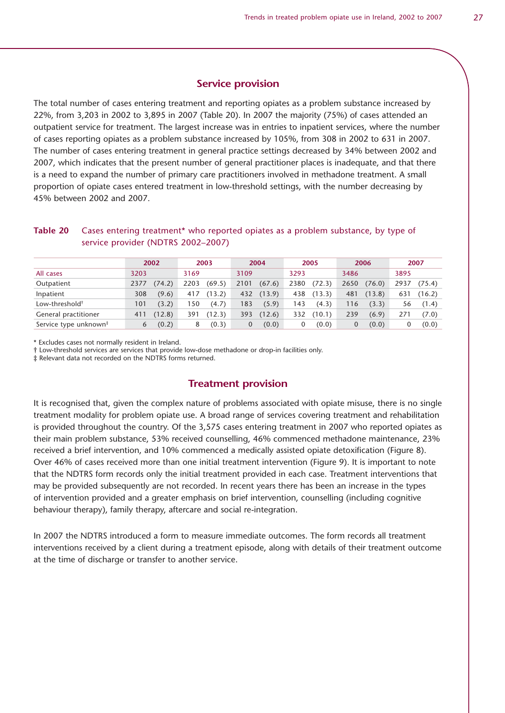#### **Service provision**

The total number of cases entering treatment and reporting opiates as a problem substance increased by 22%, from 3,203 in 2002 to 3,895 in 2007 (Table 20). In 2007 the majority (75%) of cases attended an outpatient service for treatment. The largest increase was in entries to inpatient services, where the number of cases reporting opiates as a problem substance increased by 105%, from 308 in 2002 to 631 in 2007. The number of cases entering treatment in general practice settings decreased by 34% between 2002 and 2007, which indicates that the present number of general practitioner places is inadequate, and that there is a need to expand the number of primary care practitioners involved in methadone treatment. A small proportion of opiate cases entered treatment in low-threshold settings, with the number decreasing by 45% between 2002 and 2007.

#### **Table 20** Cases entering treatment\* who reported opiates as a problem substance, by type of service provider (NDTRS 2002–2007)

|                                   |      | 2002   |      | 2003   |      | 2004   |      | 2005   |      | 2006   |      | 2007   |
|-----------------------------------|------|--------|------|--------|------|--------|------|--------|------|--------|------|--------|
| All cases                         | 3203 |        | 3169 |        | 3109 |        | 3293 |        | 3486 |        | 3895 |        |
| Outpatient                        | 2377 | 74.2)  | 2203 | (69.5) | 2101 | (67.6) | 2380 | (72.3) | 2650 | (76.0) | 2937 | (75.4) |
| Inpatient                         | 308  | (9.6)  | 417  | (13.2) | 432  | (13.9) | 438  | (13.3) | 481  | (13.8) | 631  | (16.2) |
| Low-threshold <sup>†</sup>        | 101  | (3.2)  | 50   | (4.7)  | 183  | (5.9)  | 143  | (4.3)  | 116  | (3.3)  | 56   | (1.4)  |
| General practitioner              | 411  | (12.8) | 391  | (12.3) | 393  | (12.6) | 332  | (10.1) | 239  | (6.9)  | 271  | (7.0)  |
| Service type unknown <sup>#</sup> | 6    | (0.2)  | 8    | (0.3)  | 0    | (0.0)  |      | (0.0)  | 0    | (0.0)  |      | (0.0)  |

\* Excludes cases not normally resident in Ireland.

† Low-threshold services are services that provide low-dose methadone or drop-in facilities only.

‡ Relevant data not recorded on the NDTRS forms returned.

#### **Treatment provision**

It is recognised that, given the complex nature of problems associated with opiate misuse, there is no single treatment modality for problem opiate use. A broad range of services covering treatment and rehabilitation is provided throughout the country. Of the 3,575 cases entering treatment in 2007 who reported opiates as their main problem substance, 53% received counselling, 46% commenced methadone maintenance, 23% received a brief intervention, and 10% commenced a medically assisted opiate detoxification (Figure 8). Over 46% of cases received more than one initial treatment intervention (Figure 9). It is important to note that the NDTRS form records only the initial treatment provided in each case. Treatment interventions that may be provided subsequently are not recorded. In recent years there has been an increase in the types of intervention provided and a greater emphasis on brief intervention, counselling (including cognitive behaviour therapy), family therapy, aftercare and social re-integration.

In 2007 the NDTRS introduced a form to measure immediate outcomes. The form records all treatment interventions received by a client during a treatment episode, along with details of their treatment outcome at the time of discharge or transfer to another service.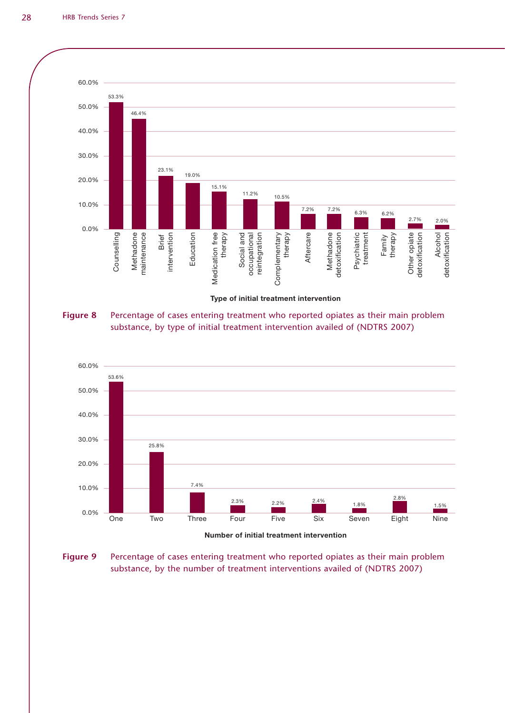

## **Figure 8** Percentage of cases entering treatment who reported opiates as their main problem substance, by type of initial treatment intervention availed of (NDTRS 2007)



Number of initial treatment intervention

**Figure 9** Percentage of cases entering treatment who reported opiates as their main problem substance, by the number of treatment interventions availed of (NDTRS 2007)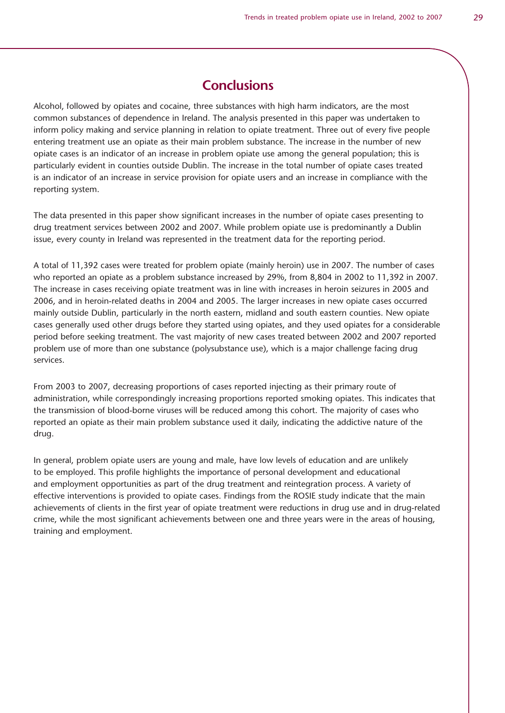Alcohol, followed by opiates and cocaine, three substances with high harm indicators, are the most common substances of dependence in Ireland. The analysis presented in this paper was undertaken to inform policy making and service planning in relation to opiate treatment. Three out of every five people entering treatment use an opiate as their main problem substance. The increase in the number of new opiate cases is an indicator of an increase in problem opiate use among the general population; this is particularly evident in counties outside Dublin. The increase in the total number of opiate cases treated is an indicator of an increase in service provision for opiate users and an increase in compliance with the reporting system.

The data presented in this paper show significant increases in the number of opiate cases presenting to drug treatment services between 2002 and 2007. While problem opiate use is predominantly a Dublin issue, every county in Ireland was represented in the treatment data for the reporting period.

A total of 11,392 cases were treated for problem opiate (mainly heroin) use in 2007. The number of cases who reported an opiate as a problem substance increased by 29%, from 8,804 in 2002 to 11,392 in 2007. The increase in cases receiving opiate treatment was in line with increases in heroin seizures in 2005 and 2006, and in heroin-related deaths in 2004 and 2005. The larger increases in new opiate cases occurred mainly outside Dublin, particularly in the north eastern, midland and south eastern counties. New opiate cases generally used other drugs before they started using opiates, and they used opiates for a considerable period before seeking treatment. The vast majority of new cases treated between 2002 and 2007 reported problem use of more than one substance (polysubstance use), which is a major challenge facing drug services.

From 2003 to 2007, decreasing proportions of cases reported injecting as their primary route of administration, while correspondingly increasing proportions reported smoking opiates. This indicates that the transmission of blood-borne viruses will be reduced among this cohort. The majority of cases who reported an opiate as their main problem substance used it daily, indicating the addictive nature of the drug.

In general, problem opiate users are young and male, have low levels of education and are unlikely to be employed. This profile highlights the importance of personal development and educational and employment opportunities as part of the drug treatment and reintegration process. A variety of effective interventions is provided to opiate cases. Findings from the ROSIE study indicate that the main achievements of clients in the first year of opiate treatment were reductions in drug use and in drug-related crime, while the most significant achievements between one and three years were in the areas of housing, training and employment.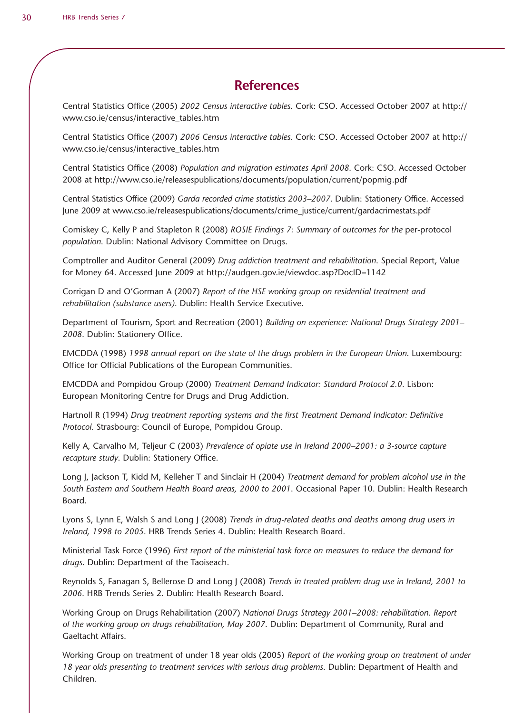# **References**

Central Statistics Office (2005) *2002 Census interactive tables*. Cork: CSO. Accessed October 2007 at http:// www.cso.ie/census/interactive\_tables.htm

Central Statistics Office (2007) *2006 Census interactive tables*. Cork: CSO. Accessed October 2007 at http:// www.cso.ie/census/interactive\_tables.htm

Central Statistics Office (2008) *Population and migration estimates April 2008*. Cork: CSO. Accessed October 2008 at http://www.cso.ie/releasespublications/documents/population/current/popmig.pdf

Central Statistics Office (2009) *Garda recorded crime statistics 2003–2007*. Dublin: Stationery Office. Accessed June 2009 at www.cso.ie/releasespublications/documents/crime\_justice/current/gardacrimestats.pdf

Comiskey C, Kelly P and Stapleton R (2008) *ROSIE Findings 7: Summary of outcomes for the* per-protocol *population*. Dublin: National Advisory Committee on Drugs.

Comptroller and Auditor General (2009) *Drug addiction treatment and rehabilitation*. Special Report, Value for Money 64. Accessed June 2009 at http://audgen.gov.ie/viewdoc.asp?DocID=1142

Corrigan D and O'Gorman A (2007) *Report of the HSE working group on residential treatment and rehabilitation (substance users)*. Dublin: Health Service Executive.

Department of Tourism, Sport and Recreation (2001) *Building on experience: National Drugs Strategy 2001– 2008*. Dublin: Stationery Office.

EMCDDA (1998) *1998 annual report on the state of the drugs problem in the European Union*. Luxembourg: Office for Official Publications of the European Communities.

EMCDDA and Pompidou Group (2000) *Treatment Demand Indicator: Standard Protocol 2.0*. Lisbon: European Monitoring Centre for Drugs and Drug Addiction.

Hartnoll R (1994) *Drug treatment reporting systems and the first Treatment Demand Indicator: Definitive Protocol*. Strasbourg: Council of Europe, Pompidou Group.

Kelly A, Carvalho M, Teljeur C (2003) *Prevalence of opiate use in Ireland 2000–2001: a 3-source capture recapture study*. Dublin: Stationery Office.

Long J, Jackson T, Kidd M, Kelleher T and Sinclair H (2004) *Treatment demand for problem alcohol use in the South Eastern and Southern Health Board areas, 2000 to 2001*. Occasional Paper 10. Dublin: Health Research Board.

Lyons S, Lynn E, Walsh S and Long J (2008) *Trends in drug-related deaths and deaths among drug users in Ireland, 1998 to 2005*. HRB Trends Series 4. Dublin: Health Research Board.

Ministerial Task Force (1996) *First report of the ministerial task force on measures to reduce the demand for drugs*. Dublin: Department of the Taoiseach.

Reynolds S, Fanagan S, Bellerose D and Long J (2008) *Trends in treated problem drug use in Ireland, 2001 to 2006*. HRB Trends Series 2. Dublin: Health Research Board.

Working Group on Drugs Rehabilitation (2007) *National Drugs Strategy 2001–2008: rehabilitation. Report of the working group on drugs rehabilitation, May 2007*. Dublin: Department of Community, Rural and Gaeltacht Affairs.

Working Group on treatment of under 18 year olds (2005) *Report of the working group on treatment of under 18 year olds presenting to treatment services with serious drug problems*. Dublin: Department of Health and Children.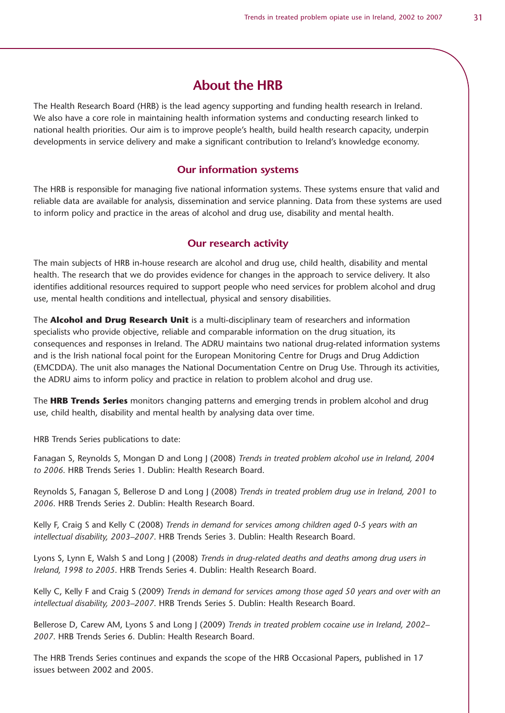# **About the HRB**

The Health Research Board (HRB) is the lead agency supporting and funding health research in Ireland. We also have a core role in maintaining health information systems and conducting research linked to national health priorities. Our aim is to improve people's health, build health research capacity, underpin developments in service delivery and make a significant contribution to Ireland's knowledge economy.

#### **Our information systems**

The HRB is responsible for managing five national information systems. These systems ensure that valid and reliable data are available for analysis, dissemination and service planning. Data from these systems are used to inform policy and practice in the areas of alcohol and drug use, disability and mental health.

#### **Our research activity**

The main subjects of HRB in-house research are alcohol and drug use, child health, disability and mental health. The research that we do provides evidence for changes in the approach to service delivery. It also identifies additional resources required to support people who need services for problem alcohol and drug use, mental health conditions and intellectual, physical and sensory disabilities.

The **Alcohol and Drug Research Unit** is a multi-disciplinary team of researchers and information specialists who provide objective, reliable and comparable information on the drug situation, its consequences and responses in Ireland. The ADRU maintains two national drug-related information systems and is the Irish national focal point for the European Monitoring Centre for Drugs and Drug Addiction (EMCDDA). The unit also manages the National Documentation Centre on Drug Use. Through its activities, the ADRU aims to inform policy and practice in relation to problem alcohol and drug use.

The **HRB Trends Series** monitors changing patterns and emerging trends in problem alcohol and drug use, child health, disability and mental health by analysing data over time.

HRB Trends Series publications to date:

Fanagan S, Reynolds S, Mongan D and Long J (2008) *Trends in treated problem alcohol use in Ireland, 2004 to 2006*. HRB Trends Series 1. Dublin: Health Research Board.

Reynolds S, Fanagan S, Bellerose D and Long J (2008) *Trends in treated problem drug use in Ireland, 2001 to 2006*. HRB Trends Series 2. Dublin: Health Research Board.

Kelly F, Craig S and Kelly C (2008) *Trends in demand for services among children aged 0-5 years with an intellectual disability, 2003–2007*. HRB Trends Series 3. Dublin: Health Research Board.

Lyons S, Lynn E, Walsh S and Long J (2008) *Trends in drug-related deaths and deaths among drug users in Ireland, 1998 to 2005*. HRB Trends Series 4. Dublin: Health Research Board.

Kelly C, Kelly F and Craig S (2009) *Trends in demand for services among those aged 50 years and over with an intellectual disability, 2003–2007*. HRB Trends Series 5. Dublin: Health Research Board.

Bellerose D, Carew AM, Lyons S and Long J (2009) *Trends in treated problem cocaine use in Ireland, 2002– 2007*. HRB Trends Series 6. Dublin: Health Research Board.

The HRB Trends Series continues and expands the scope of the HRB Occasional Papers, published in 17 issues between 2002 and 2005.